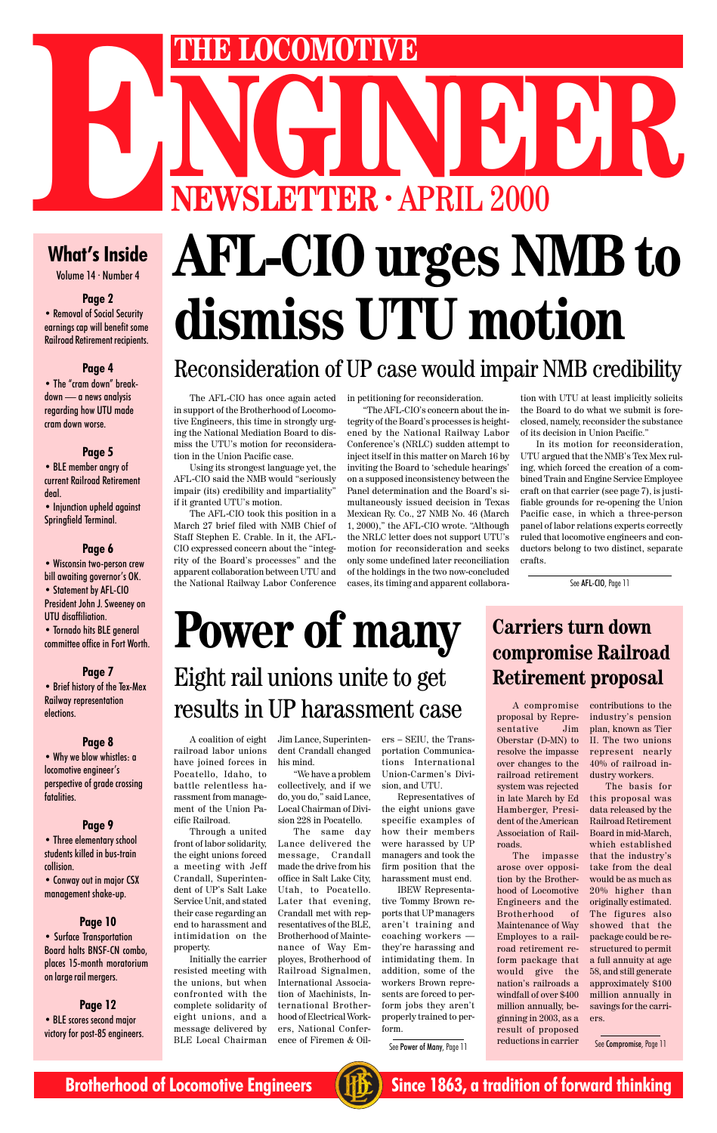

## **AFL-CIO urges NMB to dismiss UTU motion**

## Reconsideration of UP case would impair NMB credibility

The AFL-CIO has once again acted in petitioning for reconsideration. in support of the Brotherhood of Locomotive Engineers, this time in strongly urging the National Mediation Board to dismiss the UTU's motion for reconsideration in the Union Pacific case.

Using its strongest language yet, the AFL-CIO said the NMB would "seriously impair (its) credibility and impartiality" if it granted UTU's motion.

The AFL-CIO took this position in a March 27 brief filed with NMB Chief of Staff Stephen E. Crable. In it, the AFL-CIO expressed concern about the "integrity of the Board's processes" and the apparent collaboration between UTU and the National Railway Labor Conference

# **NEWSLETTER · APRIL 2000 ENEWSLETTER · APRIL 2000**<br>What's Inside AFL\_CIO 11 **POORS**

### **What's Inside**

Volume 14 · Number 4

#### **Page 2**

• Removal of Social Security earnings cap will benefit some Railroad Retirement recipients.

#### **Page 4**

• The "cram down" breakdown — a news analysis regarding how UTU made cram down worse.

#### **Page 5**

• BLE member angry of current Railroad Retirement deal.

• Injunction upheld against Springfield Terminal.

#### **Page 6**

• Wisconsin two-person crew bill awaiting governor's OK.

• Statement by AFL-CIO President John J. Sweeney on UTU disaffiliation.

• Tornado hits BLE general committee office in Fort Worth.

#### **Page 7**

• Brief history of the Tex-Mex Railway representation elections.

#### **Page 8**

• Why we blow whistles: a locomotive engineer's perspective of grade crossing fatalities.

#### **Page 9**

• Three elementary school students killed in bus-train collision.

• Conway out in major CSX management shake-up.

#### **Page 10**

• Surface Transportation Board halts BNSF-CN combo, places 15-month moratorium on large rail mergers.

**Page 12** • BLE scores second major victory for post-85 engineers.

"The AFL-CIO's concern about the integrity of the Board's processes is heightened by the National Railway Labor Conference's (NRLC) sudden attempt to inject itself in this matter on March 16 by inviting the Board to 'schedule hearings' on a supposed inconsistency between the Panel determination and the Board's simultaneously issued decision in Texas Mexican Ry. Co., 27 NMB No. 46 (March 1, 2000)," the AFL-CIO wrote. "Although the NRLC letter does not support UTU's motion for reconsideration and seeks only some undefined later reconciliation of the holdings in the two now-concluded cases, its timing and apparent collabora-

tion with UTU at least implicitly solicits the Board to do what we submit is foreclosed, namely, reconsider the substance of its decision in Union Pacific."

In its motion for reconsideration, UTU argued that the NMB's Tex Mex ruling, which forced the creation of a combined Train and Engine Service Employee craft on that carrier (see page 7), is justifiable grounds for re-opening the Union Pacific case, in which a three-person panel of labor relations experts correctly ruled that locomotive engineers and conductors belong to two distinct, separate crafts.

See AFL-CIO, Page 11

## Eight rail unions unite to get results in UP harassment case **Power of many**

A coalition of eight railroad labor unions have joined forces in Pocatello, Idaho, to battle relentless harassment from management of the Union Pacific Railroad.

Through a united front of labor solidarity, the eight unions forced a meeting with Jeff Crandall, Superintendent of UP's Salt Lake Service Unit, and stated their case regarding an end to harassment and intimidation on the property. Initially the carrier resisted meeting with the unions, but when confronted with the complete solidarity of eight unions, and a

Jim Lance, Superintendent Crandall changed his mind.

"We have a problem collectively, and if we do, you do," said Lance, Local Chairman of Division 228 in Pocatello.

The same day

message delivered by BLE Local Chairman Lance delivered the message, Crandall made the drive from his office in Salt Lake City, Utah, to Pocatello. Later that evening, Crandall met with representatives of the BLE, Brotherhood of Maintenance of Way Employes, Brotherhood of Railroad Signalmen, International Association of Machinists, International Brotherhood of Electrical Workers, National Conference of Firemen & Oil-

ers – SEIU, the Transportation Communications International Union-Carmen's Division, and UTU.

Representatives of the eight unions gave specific examples of how their members

were harassed by UP managers and took the firm position that the harassment must end.

IBEW Representative Tommy Brown reports that UP managers aren't training and coaching workers they're harassing and intimidating them. In addition, some of the workers Brown represents are forced to perform jobs they aren't properly trained to perform.

### **Carriers turn down compromise Railroad Retirement proposal**

A compromise proposal by Representative Jim Oberstar (D-MN) to resolve the impasse over changes to the railroad retirement system was rejected in late March by Ed Hamberger, President of the American

Association of Railroads.

The impasse arose over opposition by the Brotherhood of Locomotive Engineers and the Brotherhood of Maintenance of Way Employes to a railroad retirement reform package that would give the nation's railroads a windfall of over \$400 million annually, beginning in 2003, as a result of proposed reductions in carrier

See Power of Many, Page 11 reductions in carrier See Compromise, Page 11

contributions to the industry's pension plan, known as Tier II. The two unions represent nearly 40% of railroad industry workers.

The basis for this proposal was data released by the Railroad Retirement Board in mid-March, which established that the industry's take from the deal would be as much as 20% higher than originally estimated. The figures also showed that the package could be restructured to permit a full annuity at age 58, and still generate approximately \$100 million annually in savings for the carriers.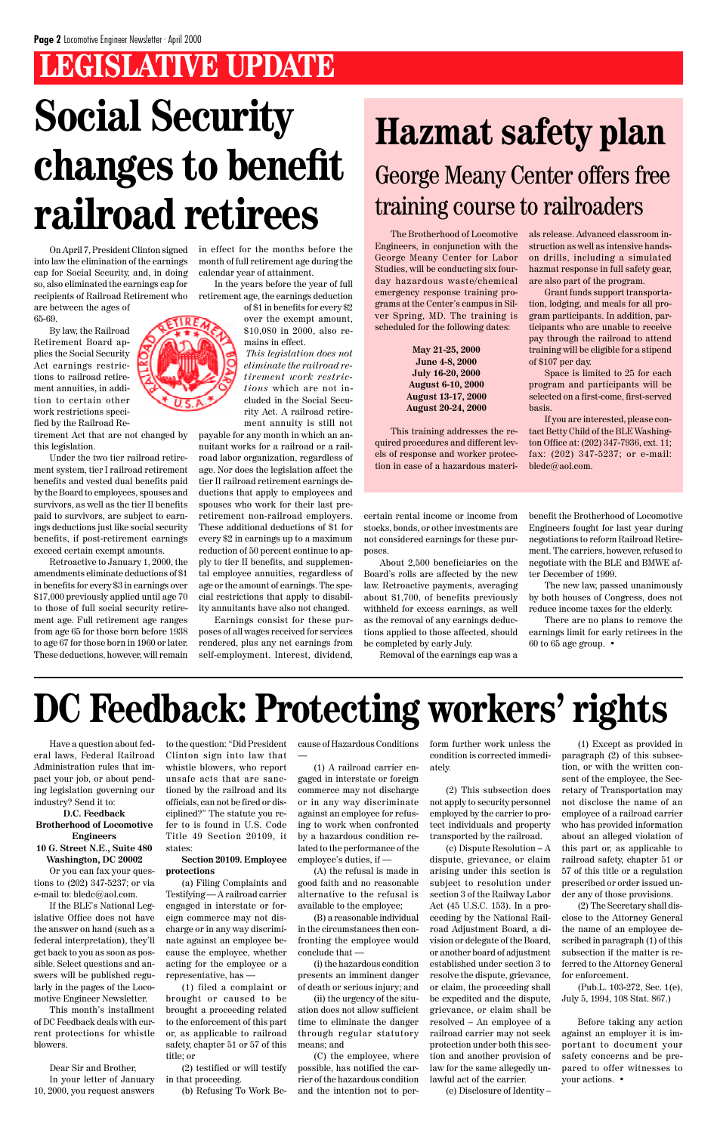## **DC Feedback: Protecting workers' rights**

Have a question about federal laws, Federal Railroad Administration rules that impact your job, or about pending legislation governing our industry? Send it to:

**D.C. Feedback Brotherhood of Locomotive**

#### **Engineers 10 G. Street N.E., Suite 480 Washington, DC 20002**

Or you can fax your questions to (202) 347-5237; or via e-mail to: bledc@aol.com.

If the BLE's National Legislative Office does not have the answer on hand (such as a federal interpretation), they'll get back to you as soon as possible. Select questions and answers will be published regularly in the pages of the Locomotive Engineer Newsletter.

This month's installment of DC Feedback deals with current protections for whistle blowers.

Dear Sir and Brother, In your letter of January 10, 2000, you request answers to the question: "Did President Clinton sign into law that whistle blowers, who report unsafe acts that are sanctioned by the railroad and its officials, can not be fired or disciplined?" The statute you refer to is found in U.S. Code

Title 49 Section 20109, it states:

#### **Section 20109. Employee protections**

(a) Filing Complaints and Testifying — A railroad carrier engaged in interstate or foreign commerce may not discharge or in any way discriminate against an employee because the employee, whether acting for the employee or a representative, has —

(1) filed a complaint or brought or caused to be brought a proceeding related to the enforcement of this part or, as applicable to railroad safety, chapter 51 or 57 of this title; or

(2) testified or will testify in that proceeding.

(b) Refusing To Work Be-

cause of Hazardous Conditions —

(1) A railroad carrier engaged in interstate or foreign commerce may not discharge or in any way discriminate against an employee for refusing to work when confronted

by a hazardous condition related to the performance of the employee's duties, if —

(A) the refusal is made in good faith and no reasonable alternative to the refusal is available to the employee;

(B) a reasonable individual in the circumstances then confronting the employee would conclude that —

(i) the hazardous condition presents an imminent danger of death or serious injury; and

(ii) the urgency of the situation does not allow sufficient time to eliminate the danger through regular statutory means; and

(C) the employee, where possible, has notified the carrier of the hazardous condition and the intention not to perform further work unless the condition is corrected immediately.

(2) This subsection does not apply to security personnel employed by the carrier to protect individuals and property

transported by the railroad.

## **LEGISLATIVE UPDATE Social Security changes to benefit railroad retirees**

(c) Dispute Resolution – A dispute, grievance, or claim arising under this section is subject to resolution under section 3 of the Railway Labor Act (45 U.S.C. 153). In a proceeding by the National Railroad Adjustment Board, a division or delegate of the Board, or another board of adjustment established under section 3 to resolve the dispute, grievance, or claim, the proceeding shall be expedited and the dispute, grievance, or claim shall be resolved – An employee of a railroad carrier may not seek protection under both this section and another provision of law for the same allegedly unlawful act of the carrier. (e) Disclosure of Identity –

The Brotherhood of Locomotive Engineers, in conjunction with the George Meany Center for Labor Studies, will be conducting six fourday hazardous waste/chemical emergency response training programs at the Center's campus in Silver Spring, MD. The training is scheduled for the following dates:

> **May 21-25, 2000 June 4-8, 2000 July 16-20, 2000 August 6-10, 2000 August 13-17, 2000 August 20-24, 2000**

This training addresses the required procedures and different levels of response and worker protection in case of a hazardous materials release. Advanced classroom instruction as well as intensive handson drills, including a simulated hazmat response in full safety gear, are also part of the program.

Grant funds support transportation, lodging, and meals for all program participants. In addition, participants who are unable to receive pay through the railroad to attend training will be eligible for a stipend of \$107 per day.

Space is limited to 25 for each program and participants will be selected on a first-come, first-served basis.

If you are interested, please contact Betty Child of the BLE Washington Office at: (202) 347-7936, ext. 11; fax: (202) 347-5237; or e-mail: bledc@aol.com.

## **Hazmat safety plan** George Meany Center offers free training course to railroaders

(1) Except as provided in paragraph (2) of this subsection, or with the written consent of the employee, the Secretary of Transportation may not disclose the name of an employee of a railroad carrier who has provided information about an alleged violation of this part or, as applicable to railroad safety, chapter 51 or 57 of this title or a regulation prescribed or order issued under any of those provisions. (2) The Secretary shall disclose to the Attorney General the name of an employee described in paragraph (1) of this subsection if the matter is referred to the Attorney General for enforcement.

(Pub.L. 103-272, Sec. 1(e), July 5, 1994, 108 Stat. 867.)

Before taking any action against an employer it is important to document your safety concerns and be prepared to offer witnesses to your actions. •

On April 7, President Clinton signed into law the elimination of the earnings cap for Social Security, and, in doing so, also eliminated the earnings cap for recipients of Railroad Retirement who are between the ages of 65-69.

By law, the Railroad Retirement Board applies the Social Security Act earnings restrictions to railroad retirement annuities, in addition to certain other work restrictions specified by the Railroad Re-

tirement Act that are not changed by this legislation.

Under the two tier railroad retirement system, tier I railroad retirement benefits and vested dual benefits paid by the Board to employees, spouses and survivors, as well as the tier II benefits paid to survivors, are subject to earnings deductions just like social security benefits, if post-retirement earnings exceed certain exempt amounts.

Retroactive to January 1, 2000, the amendments eliminate deductions of \$1 in benefits for every \$3 in earnings over \$17,000 previously applied until age 70 to those of full social security retirement age. Full retirement age ranges from age 65 for those born before 1938 to age 67 for those born in 1960 or later. These deductions, however, will remain



in effect for the months before the month of full retirement age during the calendar year of attainment.

In the years before the year of full retirement age, the earnings deduction

> of \$1 in benefits for every \$2 over the exempt amount, \$10,080 in 2000, also remains in effect.

*This legislation does not eliminate the railroad retirement work restrictions* which are not included in the Social Security Act. A railroad retirement annuity is still not

payable for any month in which an annuitant works for a railroad or a railroad labor organization, regardless of age. Nor does the legislation affect the tier II railroad retirement earnings deductions that apply to employees and spouses who work for their last preretirement non-railroad employers. These additional deductions of \$1 for every \$2 in earnings up to a maximum reduction of 50 percent continue to apply to tier II benefits, and supplemental employee annuities, regardless of age or the amount of earnings. The special restrictions that apply to disability annuitants have also not changed.

Earnings consist for these purposes of all wages received for services rendered, plus any net earnings from self-employment. Interest, dividend,

certain rental income or income from stocks, bonds, or other investments are not considered earnings for these purposes.

About 2,500 beneficiaries on the Board's rolls are affected by the new law. Retroactive payments, averaging about \$1,700, of benefits previously withheld for excess earnings, as well as the removal of any earnings deductions applied to those affected, should be completed by early July.

Removal of the earnings cap was a

benefit the Brotherhood of Locomotive Engineers fought for last year during negotiations to reform Railroad Retirement. The carriers, however, refused to negotiate with the BLE and BMWE after December of 1999.

The new law, passed unanimously by both houses of Congress, does not reduce income taxes for the elderly.

There are no plans to remove the earnings limit for early retirees in the 60 to 65 age group. •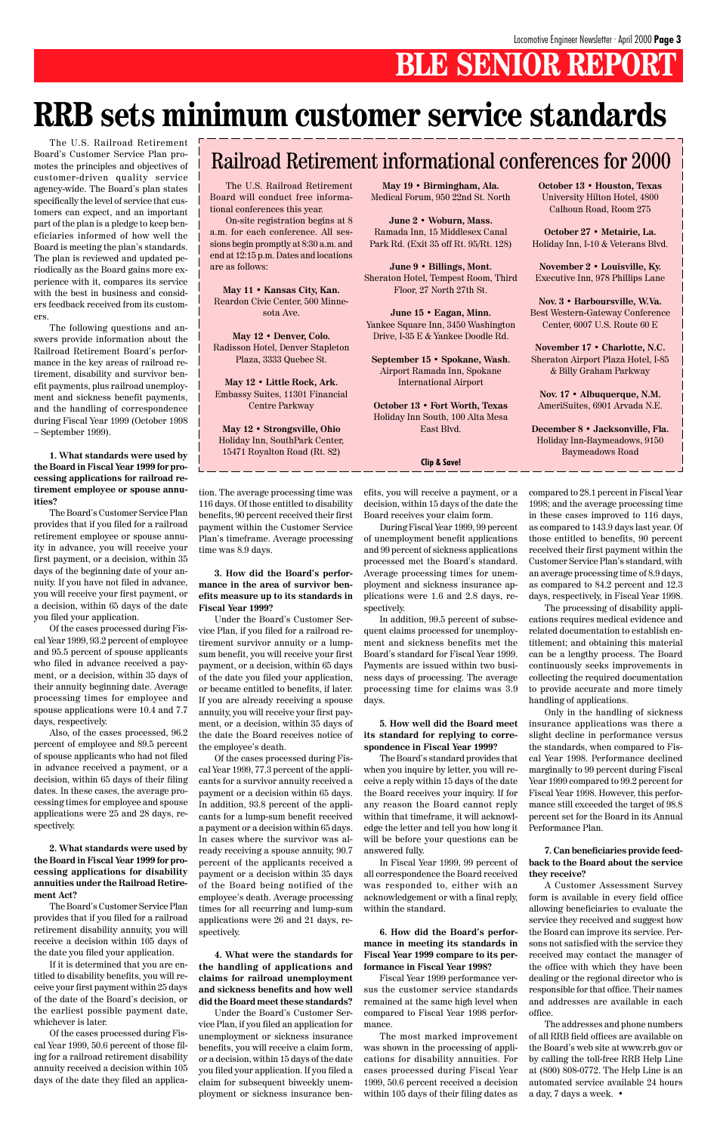## **BLE SENIOR REPORT**

## **RRB sets minimum customer service standards**

The U.S. Railroad Retirement Board's Customer Service Plan promotes the principles and objectives of customer-driven quality service agency-wide. The Board's plan states specifically the level of service that customers can expect, and an important part of the plan is a pledge to keep beneficiaries informed of how well the Board is meeting the plan's standards. The plan is reviewed and updated periodically as the Board gains more experience with it, compares its service with the best in business and considers feedback received from its customers.

The following questions and answers provide information about the Railroad Retirement Board's performance in the key areas of railroad retirement, disability and survivor benefit payments, plus railroad unemployment and sickness benefit payments, and the handling of correspondence during Fiscal Year 1999 (October 1998 – September 1999).

**1. What standards were used by the Board in Fiscal Year 1999 for processing applications for railroad retirement employee or spouse annuities?**

The Board's Customer Service Plan provides that if you filed for a railroad retirement employee or spouse annuity in advance, you will receive your first payment, or a decision, within 35 days of the beginning date of your annuity. If you have not filed in advance, you will receive your first payment, or a decision, within 65 days of the date you filed your application.

Of the cases processed during Fiscal Year 1999, 93.2 percent of employee and 95.5 percent of spouse applicants who filed in advance received a payment, or a decision, within 35 days of their annuity beginning date. Average processing times for employee and spouse applications were 10.4 and 7.7 days, respectively.

Also, of the cases processed, 96.2 percent of employee and 89.5 percent of spouse applicants who had not filed in advance received a payment, or a decision, within 65 days of their filing dates. In these cases, the average processing times for employee and spouse applications were 25 and 28 days, respectively.

**2. What standards were used by the Board in Fiscal Year 1999 for processing applications for disability annuities under the Railroad Retirement Act?**

The Board's Customer Service Plan provides that if you filed for a railroad retirement disability annuity, you will receive a decision within 105 days of the date you filed your application.

If it is determined that you are entitled to disability benefits, you will receive your first payment within 25 days of the date of the Board's decision, or the earliest possible payment date, whichever is later.

Of the cases processed during Fiscal Year 1999, 50.6 percent of those filing for a railroad retirement disability annuity received a decision within 105 days of the date they filed an application. The average processing time was 116 days. Of those entitled to disability benefits, 90 percent received their first payment within the Customer Service Plan's timeframe. Average processing time was 8.9 days.

#### **3. How did the Board's performance in the area of survivor benefits measure up to its standards in Fiscal Year 1999?**

Under the Board's Customer Service Plan, if you filed for a railroad retirement survivor annuity or a lumpsum benefit, you will receive your first payment, or a decision, within 65 days of the date you filed your application, or became entitled to benefits, if later. If you are already receiving a spouse annuity, you will receive your first payment, or a decision, within 35 days of the date the Board receives notice of the employee's death.

Of the cases processed during Fiscal Year 1999, 77.3 percent of the applicants for a survivor annuity received a payment or a decision within 65 days. In addition, 93.8 percent of the applicants for a lump-sum benefit received a payment or a decision within 65 days.

In cases where the survivor was already receiving a spouse annuity, 90.7 percent of the applicants received a payment or a decision within 35 days of the Board being notified of the employee's death. Average processing times for all recurring and lump-sum applications were 26 and 21 days, respectively.

**4. What were the standards for the handling of applications and claims for railroad unemployment and sickness benefits and how well did the Board meet these standards?**

Under the Board's Customer Service Plan, if you filed an application for unemployment or sickness insurance benefits, you will receive a claim form, or a decision, within 15 days of the date you filed your application. If you filed a claim for subsequent biweekly unemployment or sickness insurance benefits, you will receive a payment, or a decision, within 15 days of the date the Board receives your claim form.

During Fiscal Year 1999, 99 percent of unemployment benefit applications and 99 percent of sickness applications processed met the Board's standard. Average processing times for unemployment and sickness insurance applications were 1.6 and 2.8 days, respectively.

In addition, 99.5 percent of subsequent claims processed for unemployment and sickness benefits met the Board's standard for Fiscal Year 1999. Payments are issued within two business days of processing. The average processing time for claims was 3.9 days.

#### **5. How well did the Board meet its standard for replying to correspondence in Fiscal Year 1999?**

The Board's standard provides that when you inquire by letter, you will receive a reply within 15 days of the date the Board receives your inquiry. If for any reason the Board cannot reply within that timeframe, it will acknowledge the letter and tell you how long it

will be before your questions can be answered fully.

In Fiscal Year 1999, 99 percent of all correspondence the Board received was responded to, either with an acknowledgement or with a final reply, within the standard.

#### **6. How did the Board's performance in meeting its standards in Fiscal Year 1999 compare to its performance in Fiscal Year 1998?**

Fiscal Year 1999 performance versus the customer service standards remained at the same high level when compared to Fiscal Year 1998 performance.

The most marked improvement was shown in the processing of applications for disability annuities. For cases processed during Fiscal Year 1999, 50.6 percent received a decision within 105 days of their filing dates as

compared to 28.1 percent in Fiscal Year 1998; and the average processing time in these cases improved to 116 days, as compared to 143.9 days last year. Of those entitled to benefits, 90 percent received their first payment within the Customer Service Plan's standard, with an average processing time of 8.9 days, as compared to 84.2 percent and 12.3 days, respectively, in Fiscal Year 1998.

The processing of disability applications requires medical evidence and related documentation to establish entitlement; and obtaining this material can be a lengthy process. The Board continuously seeks improvements in collecting the required documentation to provide accurate and more timely handling of applications.

Only in the handling of sickness insurance applications was there a slight decline in performance versus the standards, when compared to Fiscal Year 1998. Performance declined marginally to 99 percent during Fiscal Year 1999 compared to 99.2 percent for Fiscal Year 1998. However, this performance still exceeded the target of 98.8 percent set for the Board in its Annual Performance Plan.

**7. Can beneficiaries provide feedback to the Board about the service they receive?**

A Customer Assessment Survey form is available in every field office allowing beneficiaries to evaluate the service they received and suggest how the Board can improve its service. Persons not satisfied with the service they received may contact the manager of the office with which they have been dealing or the regional director who is responsible for that office. Their names and addresses are available in each office.

The addresses and phone numbers of all RRB field offices are available on the Board's web site at www.rrb.gov or by calling the toll-free RRB Help Line at (800) 808-0772. The Help Line is an automated service available 24 hours a day, 7 days a week. •

### Railroad Retirement informational conferences for 2000

The U.S. Railroad Retirement Board will conduct free informational conferences this year.

On-site registration begins at 8 a.m. for each conference. All sessions begin promptly at 8:30 a.m. and end at 12:15 p.m. Dates and locations are as follows:

**May 11 • Kansas City, Kan.** Reardon Civic Center, 500 Minnesota Ave.

**May 12 • Denver, Colo.** Radisson Hotel, Denver Stapleton Plaza, 3333 Quebec St.

**May 12 • Little Rock, Ark.** Embassy Suites, 11301 Financial Centre Parkway

**May 12 • Strongsville, Ohio** Holiday Inn, SouthPark Center, 15471 Royalton Road (Rt. 82)

**May 19 • Birmingham, Ala.**

Medical Forum, 950 22nd St. North **June 2 • Woburn, Mass.**

Ramada Inn, 15 Middlesex Canal Park Rd. (Exit 35 off Rt. 95/Rt. 128)

**June 9 • Billings, Mont.** Sheraton Hotel, Tempest Room, Third Floor, 27 North 27th St.

**June 15 • Eagan, Minn.** Yankee Square Inn, 3450 Washington Drive, I-35 E & Yankee Doodle Rd.

**September 15 • Spokane, Wash.** Airport Ramada Inn, Spokane International Airport

**October 13 • Fort Worth, Texas** Holiday Inn South, 100 Alta Mesa East Blvd.

**October 13 • Houston, Texas** University Hilton Hotel, 4800 Calhoun Road, Room 275

**October 27 • Metairie, La.** Holiday Inn, I-10 & Veterans Blvd.

**November 2 • Louisville, Ky.** Executive Inn, 978 Phillips Lane

**Nov. 3 • Barboursville, W.Va.** Best Western-Gateway Conference Center, 6007 U.S. Route 60 E

**November 17 • Charlotte, N.C.** Sheraton Airport Plaza Hotel, I-85 & Billy Graham Parkway

**Nov. 17 • Albuquerque, N.M.** AmeriSuites, 6901 Arvada N.E.

**December 8 • Jacksonville, Fla.** Holiday Inn-Baymeadows, 9150 Baymeadows Road

**Clip & Save!**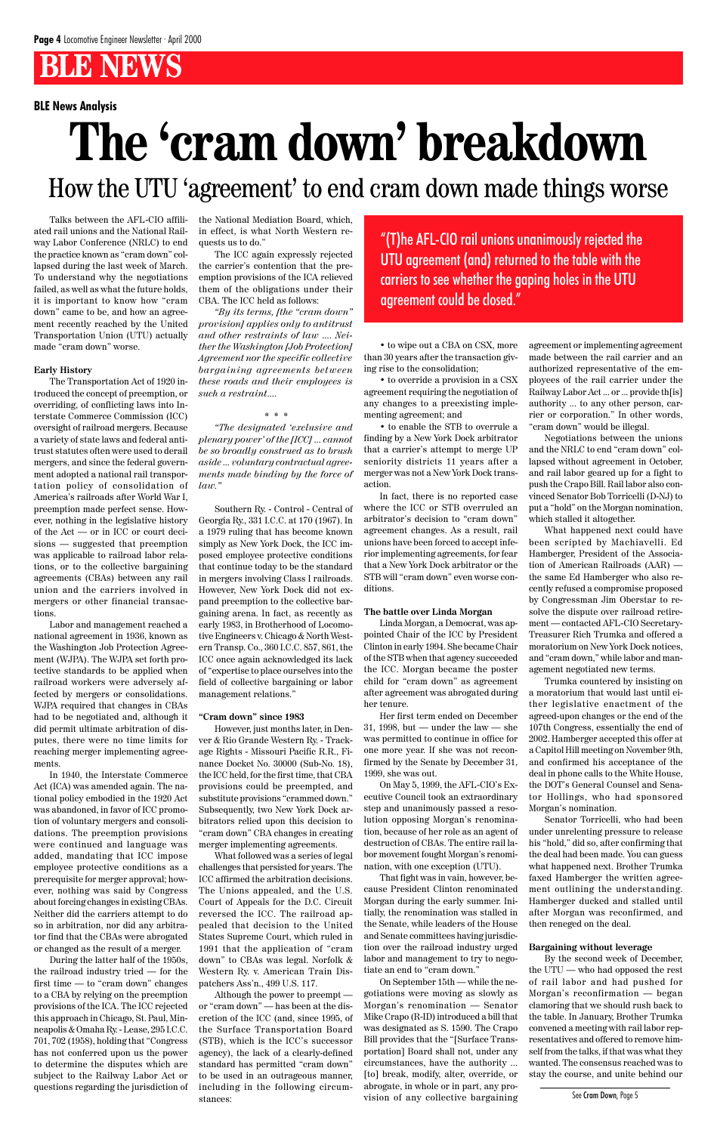#### **BLE News Analysis**

Talks between the AFL-CIO affiliated rail unions and the National Railway Labor Conference (NRLC) to end the practice known as "cram down" collapsed during the last week of March. To understand why the negotiations failed, as well as what the future holds, it is important to know how "cram down" came to be, and how an agreement recently reached by the United Transportation Union (UTU) actually made "cram down" worse.

#### **Early History**

The Transportation Act of 1920 introduced the concept of preemption, or overriding, of conflicting laws into Interstate Commerce Commission (ICC) oversight of railroad mergers. Because a variety of state laws and federal antitrust statutes often were used to derail mergers, and since the federal government adopted a national rail transportation policy of consolidation of America's railroads after World War I, preemption made perfect sense. However, nothing in the legislative history of the Act — or in ICC or court decisions — suggested that preemption was applicable to railroad labor relations, or to the collective bargaining agreements (CBAs) between any rail union and the carriers involved in mergers or other financial transactions.

Labor and management reached a national agreement in 1936, known as the Washington Job Protection Agreement (WJPA). The WJPA set forth protective standards to be applied when railroad workers were adversely affected by mergers or consolidations. WJPA required that changes in CBAs had to be negotiated and, although it did permit ultimate arbitration of disputes, there were no time limits for reaching merger implementing agreements.

In 1940, the Interstate Commerce Act (ICA) was amended again. The national policy embodied in the 1920 Act was abandoned, in favor of ICC promotion of voluntary mergers and consolidations. The preemption provisions were continued and language was added, mandating that ICC impose employee protective conditions as a prerequisite for merger approval; however, nothing was said by Congress about forcing changes in existing CBAs. Neither did the carriers attempt to do so in arbitration, nor did any arbitrator find that the CBAs were abrogated or changed as the result of a merger. During the latter half of the 1950s, the railroad industry tried — for the first time — to "cram down" changes to a CBA by relying on the preemption provisions of the ICA. The ICC rejected this approach in Chicago, St. Paul, Minneapolis & Omaha Ry. - Lease, 295 I.C.C. 701, 702 (1958), holding that "Congress has not conferred upon us the power to determine the disputes which are subject to the Railway Labor Act or questions regarding the jurisdiction of the National Mediation Board, which, in effect, is what North Western requests us to do."

The ICC again expressly rejected the carrier's contention that the preemption provisions of the ICA relieved them of the obligations under their CBA. The ICC held as follows:

*"By its terms, [the "cram down" provision] applies only to antitrust and other restraints of law .... Neither the Washington [Job Protection] Agreement nor the specific collective bargaining agreements between these roads and their employees is such a restraint....*

*\* \* \**

*"The designated 'exclusive and plenary power' of the [ICC] ... cannot be so broadly construed as to brush aside ... voluntary contractual agreements made binding by the force of law."*

Southern Ry. - Control - Central of Georgia Ry., 331 I.C.C. at 170 (1967). In a 1979 ruling that has become known simply as New York Dock, the ICC imposed employee protective conditions that continue today to be the standard in mergers involving Class I railroads. However, New York Dock did not expand preemption to the collective bargaining arena. In fact, as recently as early 1983, in Brotherhood of Locomotive Engineers v. Chicago & North Western Transp. Co., 360 I.C.C. 857, 861, the ICC once again acknowledged its lack of "expertise to place ourselves into the field of collective bargaining or labor management relations."

#### **"Cram down" since 1983**

However, just months later, in Denver & Rio Grande Western Ry. - Trackage Rights - Missouri Pacific R.R., Finance Docket No. 30000 (Sub-No. 18), the ICC held, for the first time, that CBA provisions could be preempted, and substitute provisions "crammed down." Subsequently, two New York Dock arbitrators relied upon this decision to "cram down" CBA changes in creating merger implementing agreements. What followed was a series of legal challenges that persisted for years. The ICC affirmed the arbitration decisions. The Unions appealed, and the U.S. Court of Appeals for the D.C. Circuit reversed the ICC. The railroad appealed that decision to the United States Supreme Court, which ruled in 1991 that the application of "cram down" to CBAs was legal. Norfolk & Western Ry. v. American Train Dispatchers Ass'n., 499 U.S. 117. Although the power to preempt or "cram down" — has been at the discretion of the ICC (and, since 1995, of the Surface Transportation Board (STB), which is the ICC's successor agency), the lack of a clearly-defined standard has permitted "cram down" to be used in an outrageous manner, including in the following circumstances:

## **The 'cram down' breakdown** How the UTU 'agreement' to end cram down made things worse

• to wipe out a CBA on CSX, more than 30 years after the transaction giving rise to the consolidation;

• to override a provision in a CSX agreement requiring the negotiation of any changes to a preexisting implementing agreement; and

• to enable the STB to overrule a finding by a New York Dock arbitrator that a carrier's attempt to merge UP seniority districts 11 years after a merger was not a New York Dock transaction.

In fact, there is no reported case where the ICC or STB overruled an arbitrator's decision to "cram down" agreement changes. As a result, rail unions have been forced to accept inferior implementing agreements, for fear that a New York Dock arbitrator or the STB will "cram down" even worse conditions.

#### **The battle over Linda Morgan**

Linda Morgan, a Democrat, was appointed Chair of the ICC by President Clinton in early 1994. She became Chair of the STB when that agency succeeded the ICC. Morgan became the poster child for "cram down" as agreement after agreement was abrogated during her tenure.

Her first term ended on December 31, 1998, but — under the law — she was permitted to continue in office for one more year. If she was not reconfirmed by the Senate by December 31, 1999, she was out.

On May 5, 1999, the AFL-CIO's Executive Council took an extraordinary step and unanimously passed a resolution opposing Morgan's renomination, because of her role as an agent of destruction of CBAs. The entire rail labor movement fought Morgan's renomination, with one exception (UTU). That fight was in vain, however, because President Clinton renominated Morgan during the early summer. Initially, the renomination was stalled in the Senate, while leaders of the House and Senate committees having jurisdiction over the railroad industry urged labor and management to try to negotiate an end to "cram down." On September 15th — while the negotiations were moving as slowly as Morgan's renomination — Senator Mike Crapo (R-ID) introduced a bill that was designated as S. 1590. The Crapo Bill provides that the "[Surface Transportation] Board shall not, under any circumstances, have the authority ... [to] break, modify, alter, override, or abrogate, in whole or in part, any provision of any collective bargaining

agreement or implementing agreement made between the rail carrier and an authorized representative of the employees of the rail carrier under the Railway Labor Act ... or ... provide th[is] authority ... to any other person, carrier or corporation." In other words, "cram down" would be illegal.

Negotiations between the unions and the NRLC to end "cram down" collapsed without agreement in October, and rail labor geared up for a fight to push the Crapo Bill. Rail labor also convinced Senator Bob Torricelli (D-NJ) to put a "hold" on the Morgan nomination, which stalled it altogether.

What happened next could have been scripted by Machiavelli. Ed Hamberger, President of the Association of American Railroads (AAR) the same Ed Hamberger who also recently refused a compromise proposed by Congressman Jim Oberstar to resolve the dispute over railroad retirement — contacted AFL-CIO Secretary-Treasurer Rich Trumka and offered a moratorium on New York Dock notices, and "cram down," while labor and management negotiated new terms.

Trumka countered by insisting on a moratorium that would last until either legislative enactment of the agreed-upon changes or the end of the 107th Congress, essentially the end of 2002. Hamberger accepted this offer at a Capitol Hill meeting on November 9th, and confirmed his acceptance of the deal in phone calls to the White House, the DOT's General Counsel and Senator Hollings, who had sponsored Morgan's nomination.

Senator Torricelli, who had been der unrelenting pressure to release his "hold," did so, after confirming that the deal had been made. You can guess what happened next. Brother Trumka faxed Hamberger the written agreement outlining the understanding. Hamberger ducked and stalled until after Morgan was reconfirmed, and then reneged on the deal.

#### **Bargaining without leverage**

By the second week of December, the UTU — who had opposed the rest of rail labor and had pushed for Morgan's reconfirmation — began clamoring that we should rush back to the table. In January, Brother Trumka convened a meeting with rail labor representatives and offered to remove himself from the talks, if that was what they wanted. The consensus reached was to stay the course, and unite behind our

"(T)he AFL-CIO rail unions unanimously rejected the UTU agreement (and) returned to the table with the carriers to see whether the gaping holes in the UTU agreement could be closed."

See Cram Down, Page 5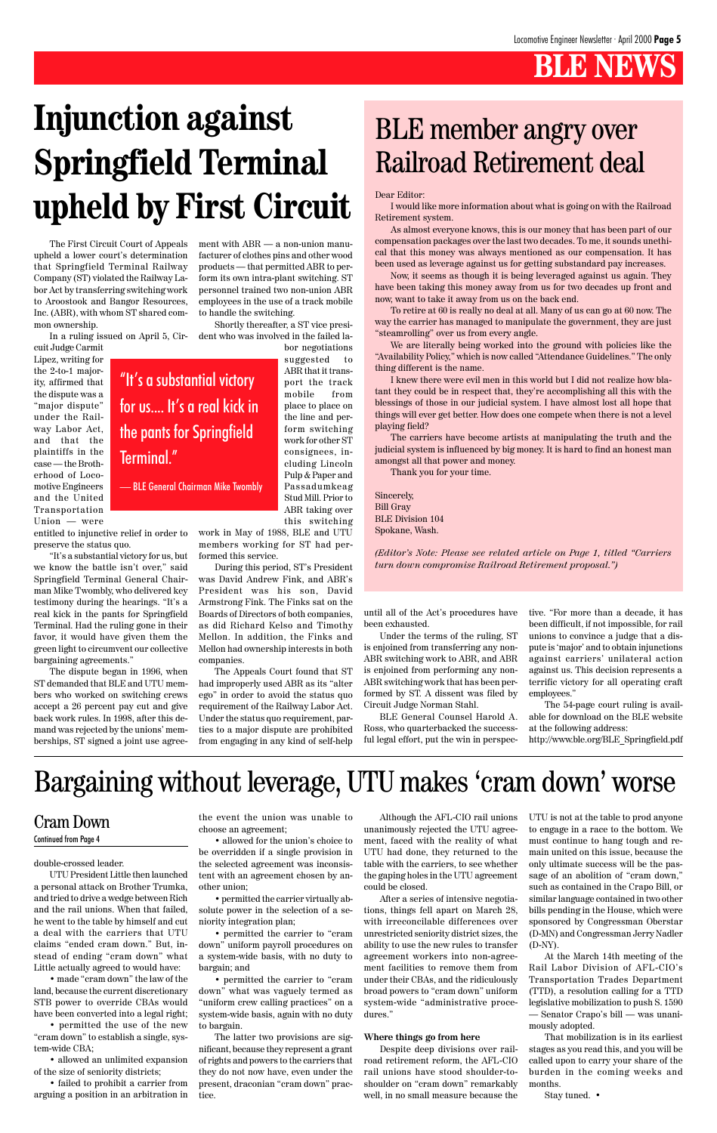double-crossed leader.

UTU President Little then launched a personal attack on Brother Trumka, and tried to drive a wedge between Rich and the rail unions. When that failed, he went to the table by himself and cut a deal with the carriers that UTU claims "ended cram down." But, instead of ending "cram down" what Little actually agreed to would have:

• made "cram down" the law of the land, because the current discretionary STB power to override CBAs would have been converted into a legal right;

• permitted the use of the new "cram down" to establish a single, system-wide CBA;

• allowed an unlimited expansion of the size of seniority districts;

• failed to prohibit a carrier from arguing a position in an arbitration in

the event the union was unable to choose an agreement;

• allowed for the union's choice to be overridden if a single provision in the selected agreement was inconsistent with an agreement chosen by another union;

• permitted the carrier virtually absolute power in the selection of a seniority integration plan;

• permitted the carrier to "cram down" uniform payroll procedures on a system-wide basis, with no duty to bargain; and

• permitted the carrier to "cram down" what was vaguely termed as "uniform crew calling practices" on a system-wide basis, again with no duty to bargain.

The latter two provisions are significant, because they represent a grant of rights and powers to the carriers that they do not now have, even under the present, draconian "cram down" practice.

ment, faced with the reality of what UTU had done, they returned to the table with the carriers, to see whether the gaping holes in the UTU agreement could be closed.

After a series of intensive negotiations, things fell apart on March 28, with irreconcilable differences over unrestricted seniority district sizes, the ability to use the new rules to transfer agreement workers into non-agreement facilities to remove them from under their CBAs, and the ridiculously broad powers to "cram down" uniform system-wide "administrative procedures."

Although the AFL-CIO rail unions UTU is not at the table to prod anyone unanimously rejected the UTU agree-to engage in a race to the bottom. We must continue to hang tough and remain united on this issue, because the only ultimate success will be the passage of an abolition of "cram down," such as contained in the Crapo Bill, or similar language contained in two other bills pending in the House, which were sponsored by Congressman Oberstar (D-MN) and Congressman Jerry Nadler (D-NY).

#### **Where things go from here**

Despite deep divisions over railroad retirement reform, the AFL-CIO rail unions have stood shoulder-toshoulder on "cram down" remarkably well, in no small measure because the

At the March 14th meeting of the Rail Labor Division of AFL-CIO's Transportation Trades Department (TTD), a resolution calling for a TTD legislative mobilization to push S. 1590 — Senator Crapo's bill — was unanimously adopted.

That mobilization is in its earliest stages as you read this, and you will be called upon to carry your share of the burden in the coming weeks and months.

Stay tuned. •

#### Cram Down

#### Continued from Page 4

## Bargaining without leverage, UTU makes 'cram down' worse

Dear Editor:

I would like more information about what is going on with the Railroad Retirement system.

As almost everyone knows, this is our money that has been part of our compensation packages over the last two decades. To me, it sounds unethical that this money was always mentioned as our compensation. It has been used as leverage against us for getting substandard pay increases.

Now, it seems as though it is being leveraged against us again. They have been taking this money away from us for two decades up front and now, want to take it away from us on the back end.

To retire at 60 is really no deal at all. Many of us can go at 60 now. The way the carrier has managed to manipulate the government, they are just "steamrolling" over us from every angle.

We are literally being worked into the ground with policies like the "Availability Policy," which is now called "Attendance Guidelines." The only thing different is the name.

I knew there were evil men in this world but I did not realize how blatant they could be in respect that, they're accomplishing all this with the blessings of those in our judicial system. I have almost lost all hope that things will ever get better. How does one compete when there is not a level playing field?

The carriers have become artists at manipulating the truth and the judicial system is influenced by big money. It is hard to find an honest man amongst all that power and money.

Thank you for your time.

Sincerely, Bill Gray BLE Division 104 Spokane, Wash.

*(Editor's Note: Please see related article on Page 1, titled "Carriers turn down compromise Railroad Retirement proposal.")*

## BLE member angry over Railroad Retirement deal

## **Injunction against Springfield Terminal upheld by First Circuit**

The First Circuit Court of Appeals upheld a lower court's determination that Springfield Terminal Railway Company (ST) violated the Railway Labor Act by transferring switching work to Aroostook and Bangor Resources, Inc. (ABR), with whom ST shared common ownership.

In a ruling issued on April 5, Circuit Judge Carmit

Lipez, writing for the 2-to-1 majority, affirmed that the dispute was a "major dispute" under the Railway Labor Act, and that the plaintiffs in the case — the Brotherhood of Locomotive Engineers and the United Transportation Union — were

entitled to injunctive relief in order to preserve the status quo.

"It's a substantial victory for us, but we know the battle isn't over," said Springfield Terminal General Chairman Mike Twombly, who delivered key testimony during the hearings. "It's a real kick in the pants for Springfield Terminal. Had the ruling gone in their favor, it would have given them the green light to circumvent our collective bargaining agreements."

The dispute began in 1996, when ST demanded that BLE and UTU members who worked on switching crews accept a 26 percent pay cut and give back work rules. In 1998, after this demand was rejected by the unions' memberships, ST signed a joint use agreement with ABR — a non-union manufacturer of clothes pins and other wood products — that permitted ABR to perform its own intra-plant switching. ST personnel trained two non-union ABR employees in the use of a track mobile to handle the switching.

Shortly thereafter, a ST vice president who was involved in the failed la-

> bor negotiations suggested to ABR that it transport the track mobile from place to place on the line and perform switching work for other ST consignees, including Lincoln Pulp & Paper and Passadumkeag Stud Mill. Prior to ABR taking over this switching

work in May of 1988, BLE and UTU members working for ST had performed this service.

During this period, ST's President was David Andrew Fink, and ABR's President was his son, David Armstrong Fink. The Finks sat on the Boards of Directors of both companies, as did Richard Kelso and Timothy Mellon. In addition, the Finks and Mellon had ownership interests in both companies.

The Appeals Court found that ST had improperly used ABR as its "alter ego" in order to avoid the status quo requirement of the Railway Labor Act. Under the status quo requirement, parties to a major dispute are prohibited from engaging in any kind of self-help until all of the Act's procedures have been exhausted.

Under the terms of the ruling, ST is enjoined from transferring any non-ABR switching work to ABR, and ABR is enjoined from performing any non-ABR switching work that has been performed by ST. A dissent was filed by Circuit Judge Norman Stahl.

BLE General Counsel Harold A. Ross, who quarterbacked the successful legal effort, put the win in perspective. "For more than a decade, it has been difficult, if not impossible, for rail unions to convince a judge that a dispute is 'major' and to obtain injunctions against carriers' unilateral action against us. This decision represents a terrific victory for all operating craft employees."

The 54-page court ruling is available for download on the BLE website at the following address: http://www.ble.org/BLE\_Springfield.pdf

"It's a substantial victory

for us.... It's a real kick in

the pants for Springfield

Terminal."

— BLE General Chairman Mike Twombly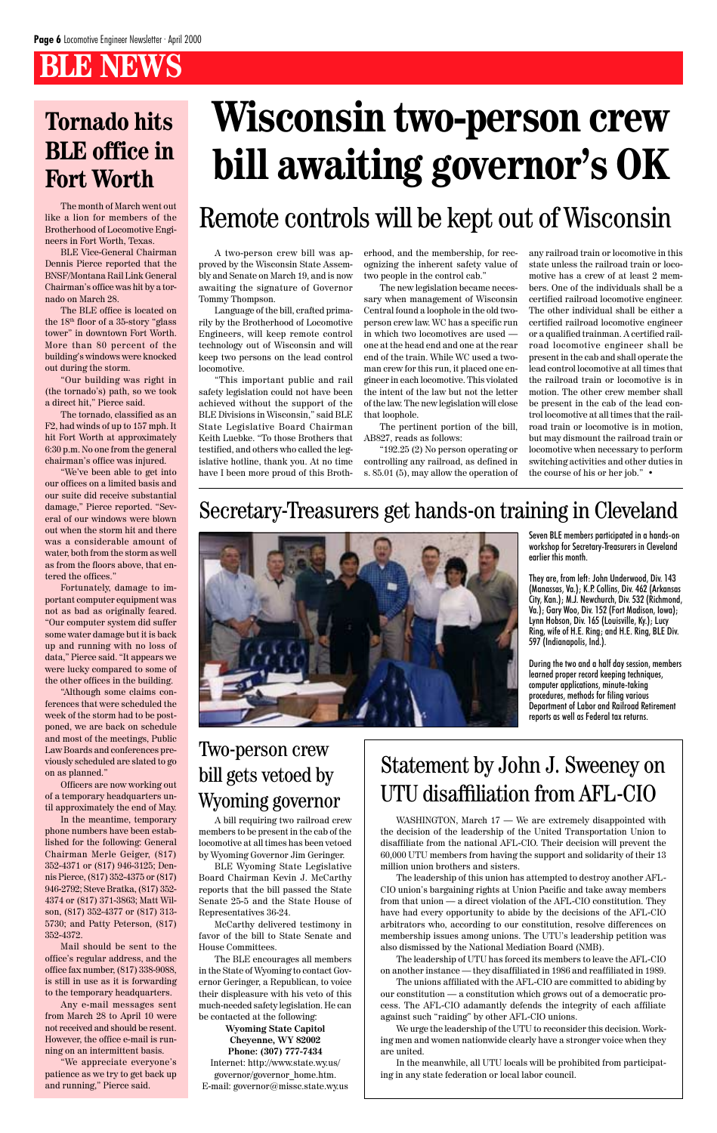The month of March went out like a lion for members of the Brotherhood of Locomotive Engineers in Fort Worth, Texas.

BLE Vice-General Chairman Dennis Pierce reported that the BNSF/Montana Rail Link General Chairman's office was hit by a tornado on March 28.

The BLE office is located on the 18th floor of a 35-story "glass tower" in downtown Fort Worth. More than 80 percent of the building's windows were knocked out during the storm.

"Our building was right in (the tornado's) path, so we took a direct hit," Pierce said.

The tornado, classified as an F2, had winds of up to 157 mph. It hit Fort Worth at approximately 6:30 p.m. No one from the general chairman's office was injured.

"We've been able to get into our offices on a limited basis and our suite did receive substantial damage," Pierce reported. "Several of our windows were blown out when the storm hit and there was a considerable amount of water, both from the storm as well as from the floors above, that entered the offices."

Fortunately, damage to important computer equipment was not as bad as originally feared. "Our computer system did suffer some water damage but it is back up and running with no loss of data," Pierce said. "It appears we were lucky compared to some of the other offices in the building.

"Although some claims conferences that were scheduled the week of the storm had to be postponed, we are back on schedule and most of the meetings, Public Law Boards and conferences previously scheduled are slated to go on as planned."

Officers are now working out of a temporary headquarters until approximately the end of May.

In the meantime, temporary hone numbers have been established for the following: General Chairman Merle Geiger, (817) 352-4371 or (817) 946-3125; Dennis Pierce, (817) 352-4375 or (817) 946-2792; Steve Bratka, (817) 352- 4374 or (817) 371-3863; Matt Wilson, (817) 352-4377 or (817) 313- 5730; and Patty Peterson, (817) 352-4372. Mail should be sent to the office's regular address, and the office fax number, (817) 338-9088, is still in use as it is forwarding to the temporary headquarters. Any e-mail messages sent from March 28 to April 10 were not received and should be resent. However, the office e-mail is running on an intermittent basis.

"We appreciate everyone's patience as we try to get back up and running," Pierce said.

## **Tornado hits BLE office in Fort Worth**

A two-person crew bill was approved by the Wisconsin State Assembly and Senate on March 19, and is now awaiting the signature of Governor Tommy Thompson.

Language of the bill, crafted primarily by the Brotherhood of Locomotive Engineers, will keep remote control technology out of Wisconsin and will keep two persons on the lead control locomotive.

"This important public and rail safety legislation could not have been achieved without the support of the BLE Divisions in Wisconsin," said BLE State Legislative Board Chairman Keith Luebke. "To those Brothers that testified, and others who called the legislative hotline, thank you. At no time have I been more proud of this Brotherhood, and the membership, for recognizing the inherent safety value of two people in the control cab."

The new legislation became necessary when management of Wisconsin Central found a loophole in the old twoperson crew law. WC has a specific run in which two locomotives are used one at the head end and one at the rear end of the train. While WC used a twoman crew for this run, it placed one engineer in each locomotive. This violated the intent of the law but not the letter of the law. The new legislation will close that loophole.

The pertinent portion of the bill, AB827, reads as follows:

"192.25 (2) No person operating or controlling any railroad, as defined in s. 85.01 (5), may allow the operation of any railroad train or locomotive in this state unless the railroad train or locomotive has a crew of at least 2 members. One of the individuals shall be a certified railroad locomotive engineer. The other individual shall be either a certified railroad locomotive engineer or a qualified trainman. A certified railroad locomotive engineer shall be present in the cab and shall operate the lead control locomotive at all times that the railroad train or locomotive is in motion. The other crew member shall be present in the cab of the lead control locomotive at all times that the railroad train or locomotive is in motion, but may dismount the railroad train or locomotive when necessary to perform switching activities and other duties in the course of his or her job." •

## **Wisconsin two-person crew bill awaiting governor's OK**

## Remote controls will be kept out of Wisconsin

WASHINGTON, March 17 — We are extremely disappointed with the decision of the leadership of the United Transportation Union to disaffiliate from the national AFL-CIO. Their decision will prevent the 60,000 UTU members from having the support and solidarity of their 13 million union brothers and sisters.

The leadership of this union has attempted to destroy another AFL-CIO union's bargaining rights at Union Pacific and take away members from that union — a direct violation of the AFL-CIO constitution. They have had every opportunity to abide by the decisions of the AFL-CIO arbitrators who, according to our constitution, resolve differences on membership issues among unions. The UTU's leadership petition was also dismissed by the National Mediation Board (NMB).

The leadership of UTU has forced its members to leave the AFL-CIO on another instance — they disaffiliated in 1986 and reaffiliated in 1989.

The unions affiliated with the AFL-CIO are committed to abiding by our constitution — a constitution which grows out of a democratic process. The AFL-CIO adamantly defends the integrity of each affiliate against such "raiding" by other AFL-CIO unions.

We urge the leadership of the UTU to reconsider this decision. Working men and women nationwide clearly have a stronger voice when they are united.

In the meanwhile, all UTU locals will be prohibited from participating in any state federation or local labor council.

### Statement by John J. Sweeney on UTU disaffiliation from AFL-CIO

### Secretary-Treasurers get hands-on training in Cleveland



### Two-person crew bill gets vetoed by Wyoming governor

A bill requiring two railroad crew members to be present in the cab of the locomotive at all times has been vetoed by Wyoming Governor Jim Geringer. BLE Wyoming State Legislative Board Chairman Kevin J. McCarthy reports that the bill passed the State Senate 25-5 and the State House of Representatives 36-24. McCarthy delivered testimony in favor of the bill to State Senate and House Committees. The BLE encourages all members in the State of Wyoming to contact Governor Geringer, a Republican, to voice their displeasure with his veto of this much-needed safety legislation. He can be contacted at the following: **Wyoming State Capitol Cheyenne, WY 82002 Phone: (307) 777-7434** Internet: http://www.state.wy.us/ governor/governor\_home.htm. E-mail: governor@missc.state.wy.us

Seven BLE members participated in a hands-on workshop for Secretary-Treasurers in Cleveland earlier this month.

They are, from left: John Underwood, Div. 143 (Manassas, Va.); K.P. Collins, Div. 462 (Arkansas City, Kan.); M.J. Newchurch, Div. 532 (Richmond, Va.); Gary Woo, Div. 152 (Fort Madison, Iowa); Lynn Hobson, Div. 165 (Louisville, Ky.); Lucy Ring, wife of H.E. Ring; and H.E. Ring, BLE Div. 597 (Indianapolis, Ind.).

During the two and a half day session, members learned proper record keeping techniques, computer applications, minute-taking procedures, methods for filing various Department of Labor and Railroad Retirement reports as well as Federal tax returns.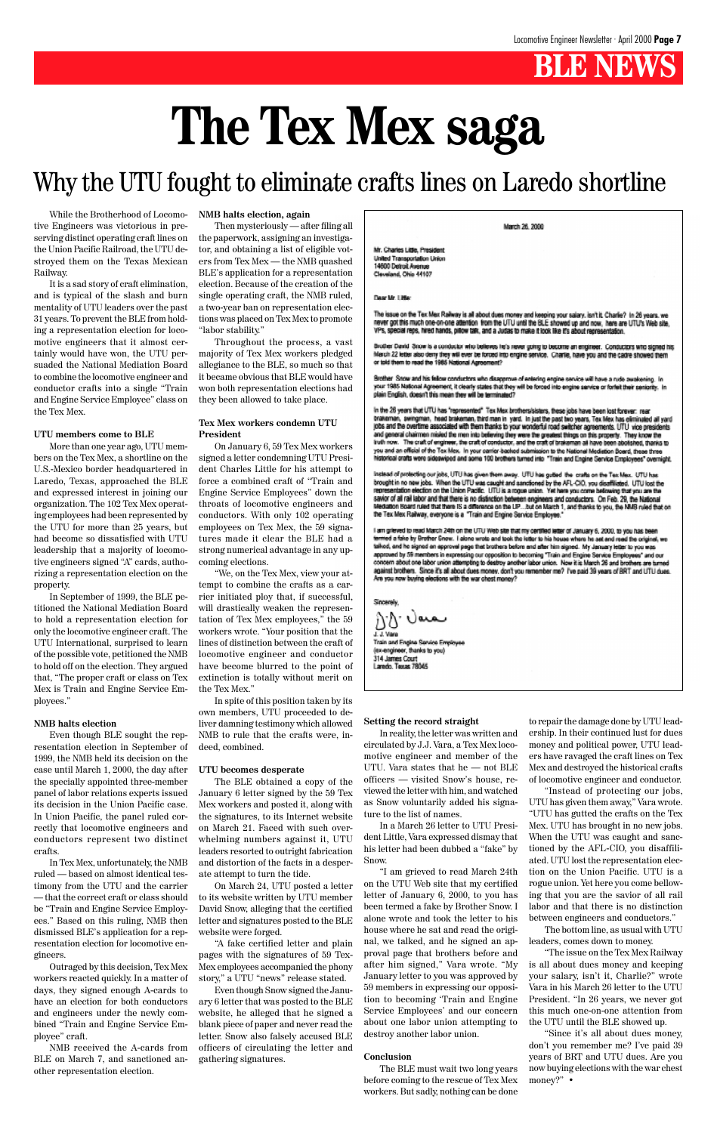While the Brotherhood of Locomotive Engineers was victorious in preserving distinct operating craft lines on the Union Pacific Railroad, the UTU destroyed them on the Texas Mexican Railway.

It is a sad story of craft elimination, and is typical of the slash and burn mentality of UTU leaders over the past 31 years. To prevent the BLE from holding a representation election for locomotive engineers that it almost certainly would have won, the UTU persuaded the National Mediation Board to combine the locomotive engineer and conductor crafts into a single "Train and Engine Service Employee" class on the Tex Mex.

#### **UTU members come to BLE**

More than one year ago, UTU members on the Tex Mex, a shortline on the U.S.-Mexico border headquartered in Laredo, Texas, approached the BLE and expressed interest in joining our organization. The 102 Tex Mex operating employees had been represented by the UTU for more than 25 years, but had become so dissatisfied with UTU leadership that a majority of locomotive engineers signed "A" cards, authorizing a representation election on the property.

In September of 1999, the BLE petitioned the National Mediation Board to hold a representation election for only the locomotive engineer craft. The UTU International, surprised to learn of the possible vote, petitioned the NMB to hold off on the election. They argued that, "The proper craft or class on Tex Mex is Train and Engine Service Employees."

#### **NMB halts election**

Even though BLE sought the representation election in September of 1999, the NMB held its decision on the case until March 1, 2000, the day after the specially appointed three-member panel of labor relations experts issued its decision in the Union Pacific case. In Union Pacific, the panel ruled correctly that locomotive engineers and

conductors represent two distinct crafts.

In Tex Mex, unfortunately, the NMB ruled — based on almost identical testimony from the UTU and the carrier — that the correct craft or class should be "Train and Engine Service Employees." Based on this ruling, NMB then dismissed BLE's application for a representation election for locomotive engineers.

Outraged by this decision, Tex Mex workers reacted quickly. In a matter of days, they signed enough A-cards to have an election for both conductors and engineers under the newly combined "Train and Engine Service Employee" craft.

NMB received the A-cards from BLE on March 7, and sanctioned another representation election.

#### **NMB halts election, again**

Then mysteriously — after filing all the paperwork, assigning an investigator, and obtaining a list of eligible voters from Tex Mex — the NMB quashed BLE's application for a representation election. Because of the creation of the single operating craft, the NMB ruled, a two-year ban on representation elections was placed on Tex Mex to promote "labor stability."

Throughout the process, a vast majority of Tex Mex workers pledged allegiance to the BLE, so much so that it became obvious that BLE would have won both representation elections had they been allowed to take place.

#### **Tex Mex workers condemn UTU President**

On January 6, 59 Tex Mex workers signed a letter condemning UTU President Charles Little for his attempt to force a combined craft of "Train and Engine Service Employees" down the throats of locomotive engineers and conductors. With only 102 operating employees on Tex Mex, the 59 signatures made it clear the BLE had a strong numerical advantage in any upcoming elections.

"We, on the Tex Mex, view your attempt to combine the crafts as a carrier initiated ploy that, if successful, will drastically weaken the representation of Tex Mex employees," the 59 workers wrote. "Your position that the lines of distinction between the craft of locomotive engineer and conductor have become blurred to the point of extinction is totally without merit on the Tex Mex."

In spite of this position taken by its own members, UTU proceeded to deliver damning testimony which allowed NMB to rule that the crafts were, indeed, combined.

#### **UTU becomes desperate**

The BLE obtained a copy of the January 6 letter signed by the 59 Tex Mex workers and posted it, along with the signatures, to its Internet website on March 21. Faced with such overMarch 26, 2000

Mr. Charles Little, President United Transportation Union 14600 Detroit Avenue Cleveland, Ohio 44107

Dear Mr. Little:

The issue on the Tex Mex Railway is all about dues money and keeping your salary. Isn't it. Charlie? In 26 years, we never got this much one-on-one attention from the UTU until the BLE showed up and now, here are UTU's Web site,<br>VPs, special reps, hired hands, pillow talk, and a Judas to make it look like it's about representation.

Brother David Snow is a conductor who believes he's never going to become an engineer. Conductors who signed his March 22 letter also deny they will ever be forced into engine service. Charlie, have you and the cadre showed them<br>or told them to read the 1985 National Agreement?

Brother Snow and his fellow conductors who disapprove of entering engine service will have a rude awakening. In your 1985 National Agreement, it clearly states that they will be forced into engine service or forfeit their seniority. In<br>plain English, doesn't this mean they will be terminated?

In the 26 years that UTU has "represented" Tex Mex brothersisisters, these jobs have been lost forever. rear brakeman, swingman, head brakeman, third man in yard. In just the past two years, Tex Mex has eliminated all yard jobs and the overtime associated with them thanks to your wonderful road switcher agreements. UTU vice presidents and general chairmen misied the men into believing they were the greatest things on this property. They know the Iruth now. The craft of engineer, the craft of conductor, and the craft of brakeman all have been abolished, thanks to you and an official of the Tex Mex. In your carrier-backed submission to the National Mediation Board, these three torical orafts were sideswiped and some 100 brothers turned into "Train and Engine Service Employees" overnight.

Instead of protecting our jobs, UTU has given them away. UTU has gutted the crafts on the Tex Mex. UTU has brought in no new jobs. When the UTU was caught and sanctioned by the AFL-CIO, you disaffilated. UTU lost the representation election on the Union Pacific. UTU is a rogue union. Yet here you come belowing that you are the savior of all rail labor and that there is no distinction between engineers and conductors. On Feb. 29, the National<br>Mediation Board ruled that there IS a difference on the UP...but on March 1, and thanks to you, the NMB r

I am grieved to read March 24th on the UTU Web site that my certified letter of January 6, 2000, to you has been lermed a fake by Brother Snow. I alono wroto and took the letter to his house where he set and reed the original, we talkod, and he signed an approval page that brothers before and after him signed. My January letter to you was approved by 59 members in expressing our opposition to becoming "Train and Engine Service Employees" and our<br>concern about one labor union attempting to destroy another labor union. Now it is March 26 and brothers are turn against brothers. Since it's all about dues money, don't you remember me? I've paid 39 years of BRT and UTU dues. Are you now buying elections with the war chest money?

) کی راسم J. J. Vara

Train and Engine Service Employee (ex-engineer, thanks to you) 314 James Court Laredo, Texas 78045

whelming numbers against it, UTU leaders resorted to outright fabrication and distortion of the facts in a desperate attempt to turn the tide.

On March 24, UTU posted a letter to its website written by UTU member David Snow, alleging that the certified letter and signatures posted to the BLE website were forged.

"A fake certified letter and plain pages with the signatures of 59 Tex-Mex employees accompanied the phony story," a UTU "news" release stated.

Even though Snow signed the January 6 letter that was posted to the BLE website, he alleged that he signed a blank piece of paper and never read the letter. Snow also falsely accused BLE officers of circulating the letter and gathering signatures.

#### **Setting the record straight**

In reality, the letter was written and circulated by J.J. Vara, a Tex Mex locomotive engineer and member of the UTU. Vara states that he — not BLE officers — visited Snow's house, reviewed the letter with him, and watched as Snow voluntarily added his signature to the list of names.

In a March 26 letter to UTU Presi-

dent Little, Vara expressed dismay that his letter had been dubbed a "fake" by Snow.

"I am grieved to read March 24th on the UTU Web site that my certified letter of January 6, 2000, to you has been termed a fake by Brother Snow. I alone wrote and took the letter to his house where he sat and read the original, we talked, and he signed an approval page that brothers before and after him signed," Vara wrote. "My January letter to you was approved by 59 members in expressing our opposition to becoming 'Train and Engine Service Employees' and our concern about one labor union attempting to destroy another labor union.

#### **Conclusion**

The BLE must wait two long years before coming to the rescue of Tex Mex workers. But sadly, nothing can be done

## **The Tex Mex saga**

## Why the UTU fought to eliminate crafts lines on Laredo shortline

to repair the damage done by UTU leadership. In their continued lust for dues money and political power, UTU leaders have ravaged the craft lines on Tex Mex and destroyed the historical crafts of locomotive engineer and conductor.

"Instead of protecting our jobs, UTU has given them away," Vara wrote. "UTU has gutted the crafts on the Tex Mex. UTU has brought in no new jobs. When the UTU was caught and sanctioned by the AFL-CIO, you disaffiliated. UTU lost the representation election on the Union Pacific. UTU is a rogue union. Yet here you come bellowing that you are the savior of all rail labor and that there is no distinction between engineers and conductors."

The bottom line, as usual with UTU leaders, comes down to money.

"The issue on the Tex Mex Railway is all about dues money and keeping your salary, isn't it, Charlie?" wrote Vara in his March 26 letter to the UTU President. "In 26 years, we never got this much one-on-one attention from the UTU until the BLE showed up.

"Since it's all about dues money, don't you remember me? I've paid 39 years of BRT and UTU dues. Are you now buying elections with the war chest money?" •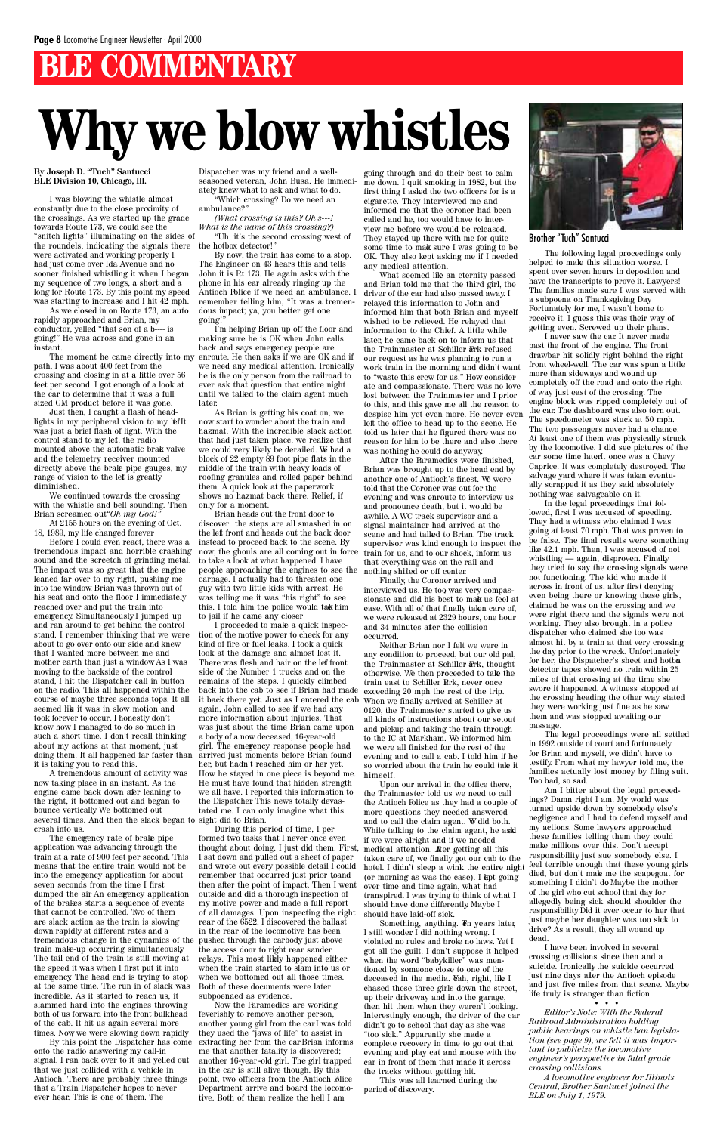## **BLE COMMENTARY**

**By Joseph D. "Tuch" Santucci BLE Division 10, Chicago, Ill.**

I was blowing the whistle almost constantly due to the close proximity of the crossings. As we started up the grade towards Route 173, we could see the "snitch lights" illuminating on the sides of the roundels, indicating the signals there the hotbox detector!" were activated and working properly. I had just come over Ida Avenue and no sooner finished whistling it when I began my sequence of two longs, a short and a long for Route 173. By this point my speed was starting to increase and I hit 42 mph.

We continued towards the crossing with the whistle and bell sounding. Then Brian screamed out"Oh my God!

As we closed in on Route 173, an auto rapidly approached and Brian, my conductor, yelled "that son of a b---- is going!" He was across and gone in an instant.

path, I was about 400 feet from the crossing and closing in at a little over 56 feet per second. I got enough of a look at the car to determine that it was a full sized GM product before it was gone.

Just then, I caught a flash of headlights in my peripheral vision to my lef It was just a brief flash of light. With the control stand to my left, the radio mounted above the automatic brake valve and the telemetry receiver mounted directly above the brake pipe gauges, my range of vision to the lef is greatly diminished.

At 2155 hours on the evening of Oct. 18, 1989, my life changed forever.

Before I could even react, there was a tremendous impact and horrible crashing sound and the screetch of grinding metal. The impact was so great that the engine leaned far over to my right, pushing me into the window. Brian was thrown out of his seat and onto the floor I immediately reached over and put the train into emergency. Simultaneously I jumped up and ran around to get behind the control stand. I remember thinking that we were about to go over onto our side and knew that I wanted more between me and mother earth than just a window. As I was moving to the backside of the control stand, I hit the Dispatcher call in button on the radio. This all happened within the course of maybe three seconds tops. It all seemed like it was in slow motion and took forever to occur. I honestly don't know how I managed to do so much in such a short time. I don't recall thinking about my actions at that moment, just doing them. It all happened far faster than it is taking you to read this.

A tremendous amount of activity was now taking place in an instant. As the engine came back down after leaning to the right, it bottomed out and began to bounce vertically. We bottomed out several times. And then the slack began to sight did to Brian. crash into us.

The moment he came directly into my enroute. He then asks if we are OK and if I'm helping Brian up off the floor and making sure he is OK when John calls back and says emergency people are we need any medical attention. Ironically, he is the only person from the railroad to ever ask that question that entire night until we talked to the claim agent much later.

By this point the Dispatcher has come onto the radio answering my call-in signal. I ran back over to it and yelled out that we just collided with a vehicle in Antioch. There are probably three things that a Train Dispatcher hopes to never ever hear. This is one of them. The

Dispatcher was my friend and a wellseasoned veteran, John Busa. He immediately knew what to ask and what to do.

"Which crossing? Do we need an ambulance?" *(What crossing is this? Oh s---!*

*What is the name of this crossing?)* "Uh, it's the second crossing west of

By now, the train has come to a stop. The Engineer on 43 hears this and tells John it is Rt 173. He again asks with the phone in his ear already ringing up the Antioch Police if we need an ambulance. I remember telling him, "It was a tremendous impact; ya, you better get one going!"

As Brian is getting his coat on, we now start to wonder about the train and hazmat. With the incredible slack action that had just taken place, we realize that we could very likely be derailed. We had a block of 22 empty 89 foot pipe flats in the middle of the train with heavy loads of roofing granules and rolled paper behind them. A quick look at the paperwork shows no hazmat back there. Relief, if only for a moment.

Brian heads out the front door to discover the steps are all smashed in on the left front and heads out the back door instead to proceed back to the scene. By now, the ghouls are all coming out in force to take a look at what happened. I have people approaching the engines to see the carnage. I actually had to threaten one guy with two little kids with arrest. He was telling me it was "his right" to see this. I told him the police would take him to jail if he came any closer.

I proceeded to make a quick inspection of the motive power to check for any kind of fire or fuel leaks. I took a quick look at the damage and almost lost it. There was flesh and hair on the left front side of the Number 1 trucks and on the remains of the steps. I quickly climbed back into the cab to see if Brian had made exceeding 20 mph the rest of the trip. it back there yet. Just as I entered the cab again, John called to see if we had any more information about injuries. That was just about the time Brian came upon a body of a now deceased, 16-year-old girl. The emegency response people had arrived just moments before Brian found her, but hadn't reached him or her yet. How he stayed in one piece is beyond me. He must have found that hidden strength we all have. I reported this information to the Dispatcher This news totally devastated me. I can only imagine what this

During this period of time, I performed two tasks that I never once even thought about doing. I just did them. First, I sat down and pulled out a sheet of paper and wrote out every possible detail I could remember that occurred just prior to and then after the point of impact. Then I went outside and did a thorough inspection of my motive power and made a full report of all damages. Upon inspecting the right rear of the 6522, I discovered the ballast in the rear of the locomotive has been pushed through the carbody just above the access door to right rear sander relays. This most likely happened either when the train started to slam into us or when we bottomed out all those times. Both of these documents were later subpoenaed as evidence. Now the Paramedics are working feverishly to remove another person, another young girl from the  $\operatorname*{carI}\nolimits$  was told they used the "jaws of life" to assist in extracting her from the car Brian informs me that another fatality is discovered; another 16-year -old girl. The girl trapped in the car is still alive though. By this point, two officers from the Antioch Blice Department arrive and board the locomotive. Both of them realize the hell I am

going through and do their best to calm me down. I quit smoking in 1982, but the first thing I asked the two officers for is a cigarette. They interviewed me and informed me that the coroner had been called and he, too, would have to interview me before we would be released. They stayed up there with me for quite some time to make sure I was going to be OK. They also kept asking me if I needed any medical attention.

What seemed like an eternity passed and Brian told me that the third girl, the driver of the car had also passed away. I relayed this information to John and informed him that both Brian and myself wished to be relieved. He relayed that information to the Chief. A little while later, he came back on to inform us that the Trainmaster at Schiller Rrk refused our request as he was planning to run a work train in the morning and didn't want to "waste this crew for us." How considerate and compassionate. There was no love lost between the Trainmaster and I prior to this, and this gave me all the reason to despise him yet even more. He never even left the office to head up to the scene. He told us later that he figured there was no reason for him to be there and also there was nothing he could do anyway.

After the Paramedics were finished, Brian was brought up to the head end by another one of Antioch's finest. We were told that the Coroner was out for the evening and was enroute to interview us and pronounce death, but it would be awhile. A WC track supervisor and a signal maintainer had arrived at the scene and had talked to Brian. The track supervisor was kind enough to inspect the train for us, and to our shock, inform us that everything was on the rail and nothing shifted or off center.

Finally, the Coroner arrived and interviewed us. He too, was very compassionate and did his best to make us feel at ease. With all of that finally taken care of, we were released at 2329 hours, one hour and 34 minutes after the collision occurred.

Neither Brian nor I felt we were in any condition to proceed, but our old pal, the Trainmaster at Schiller Prk, thought otherwise. We then proceeded to take the train east to Schiller Rrk, never once When we finally arrived at Schiller at 0120, the Trainmaster started to give us all kinds of instructions about our setout and pickup and taking the train through to the IC at Markham. We informed him we were all finished for the rest of the evening and to call a cab. I told him if he so worried about the train he could take it himself.

Upon our arrival in the office there, the Trainmaster told us we need to call the Antioch Police as they had a couple of more questions they needed answered and to call the claim agent. We did both. While talking to the claim agent, he ask if we were alright and if we needed medical attention. After getting all this taken care of, we finally got our cab to the hotel. I didn't sleep a wink the entire night (or morning as was the case). I kept going over time and time again, what had transpired. I was trying to think of what I should have done differently. Maybe I should have laid-off sick. Something, anything. The years later, I still wonder. I did nothing wrong. I violated no rules and broke no laws. Yet I got all the guilt. I don't suppose it helped when the word "babykiller" was mentioned by someone close to one of the deceased in the media. Wah, right, like I chased these three girls down the street, up their driveway and into the garage, then hit them when they weren't looking. Interestingly enough, the driver of the car didn't go to school that day as she was "too sick." Apparently she made a complete recovery in time to go out that evening and play cat and mouse with the car in front of them that made it across the tracks without getting hit. This was all learned during the period of discovery.



## **Why we blow whistles**

Brother "Tuch" Santucci

The following legal proceedings only helped to make this situation worse. I spent over seven hours in deposition and have the transcripts to prove it. Lawyers! The families made sure I was served with a subpoena on Thanksgiving Day. Fortunately for me, I wasn't home to receive it. I guess this was their way of getting even. Screwed up their plans.

I never saw the car. It never made past the front of the engine. The front drawbar hit solidly right behind the right front wheel-well. The car was spun a little more than sideways and wound up completely off the road and onto the right of way just east of the crossing. The engine block was ripped completely out of the car. The dashboard was also torn out. The speedometer was stuck at 50 mph. The two passengers never had a chance. At least one of them was physically struck by the locomotive. I did see pictures of the car some time laterIt once was a Chevy Caprice. It was completely destroyed. The salvage yard where it was taken eventually scrapped it as they said absolutely nothing was salvageable on it.

In the legal proceedings that followed, first I was accused of speeding. They had a witness who claimed I was going at least 70 mph. That was proven to be false. The final results were something like 42.1 mph. Then, I was accused of not whistling — again, disproven. Finally they tried to say the crossing signals were not functioning. The kid who made it across in front of us, after first denying even being there or knowing these girls, claimed he was on the crossing and we were right there and the signals were not working. They also brought in a police dispatcher who claimed she too was almost hit by a train at that very crossing the day prior to the wreck. Unfortunately for her, the Dispatcher's sheet and hotba detector tapes showed no train within 25 miles of that crossing at the time she swore it happened. A witness stopped at the crossing heading the other way stated they were working just fine as he saw them and was stopped awaiting our passage.

The legal proceedings were all settled in 1992 outside of court and fortunately for Brian and myself, we didn't have to testify. From what my lawyer told me, the families actually lost money by filing suit. Too bad, so sad.

Am I bitter about the legal proceedings? Damn right I am. My world was turned upside down by somebody else's negligence and I had to defend myself and my actions. Some lawyers approached these families telling them they could make millions over this. Don't accept responsibility just sue somebody else. I feel terrible enough that these young girls died, but don't make me the scapegoat for something I didn't do Maybe the mother of the girl who cut school that day for allegedly being sick should shoulder the responsibility. Did it ever occur to her that just maybe her daughter was too sick to drive? As a result, they all wound up dead. I have been involved in several crossing collisions since then and a suicide. Ironically the suicide occurred just nine days after the Antioch episode and just five miles from that scene. Maybe life truly is stranger than fiction. • • • *Editor's Note: With the Federal Railroad Administration holding public hearings on whistle ban legislation (see page 9), we felt it was important to publicize the locomotive engineer's perspective in fatal grade crossing collisions.*

The emergency rate of brake pipe application was advancing through the train at a rate of 900 feet per second. This means that the entire train would not be into the emergency application for about seven seconds from the time I first dumped the air An emergency application of the brakes starts a sequence of events that cannot be controlled. Two of them are slack action as the train is slowing down rapidly at different rates and a tremendous change in the dynamics of the train make-up occurring simultaneously. The tail end of the train is still moving at the speed it was when I first put it into emergency. The head end is trying to stop at the same time. The run in of slack was incredible. As it started to reach us, it slammed hard into the engines throwing both of us forward into the front bulkhead of the cab. It hit us again several more times. Now we were slowing down rapidly

> *A locomotive engineer for Illinois Central, Brother Santucci joined the BLE on July 1, 1979.*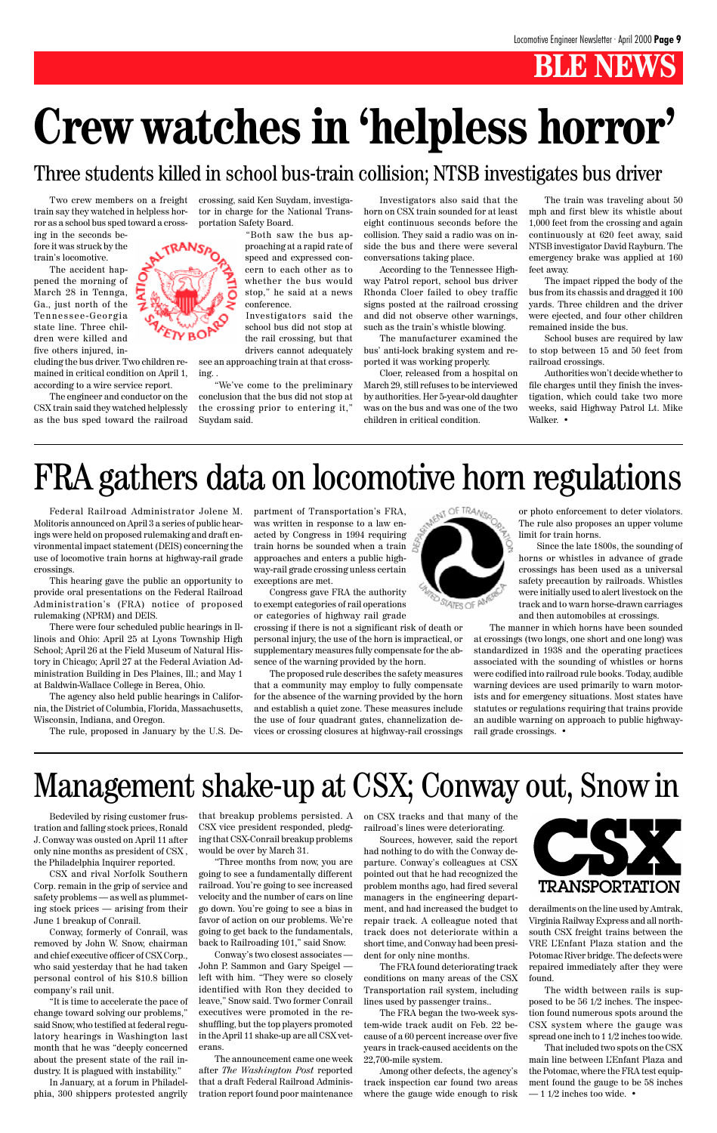Federal Railroad Administrator Jolene M. Molitoris announced on April 3 a series of public hearings were held on proposed rulemaking and draft environmental impact statement (DEIS) concerning the use of locomotive train horns at highway-rail grade crossings.

This hearing gave the public an opportunity to provide oral presentations on the Federal Railroad Administration's (FRA) notice of proposed rulemaking (NPRM) and DEIS.

There were four scheduled public hearings in Illinois and Ohio: April 25 at Lyons Township High School; April 26 at the Field Museum of Natural History in Chicago; April 27 at the Federal Aviation Administration Building in Des Plaines, Ill.; and May 1 at Baldwin-Wallace College in Berea, Ohio.

The agency also held public hearings in California, the District of Columbia, Florida, Massachusetts, Wisconsin, Indiana, and Oregon.

The rule, proposed in January by the U.S. De-

partment of Transportation's FRA, was written in response to a law enacted by Congress in 1994 requiring train horns be sounded when a train approaches and enters a public highway-rail grade crossing unless certain exceptions are met.

Congress gave FRA the authority to exempt categories of rail operations or categories of highway rail grade

crossing if there is not a significant risk of death or personal injury, the use of the horn is impractical, or supplementary measures fully compensate for the absence of the warning provided by the horn.

The proposed rule describes the safety measures that a community may employ to fully compensate for the absence of the warning provided by the horn and establish a quiet zone. These measures include the use of four quadrant gates, channelization devices or crossing closures at highway-rail crossings



## **Crew watches in 'helpless horror'**

train say they watched in helpless horror as a school bus sped toward a cross-

ing in the seconds before it was struck by the train's locomotive.

The accident happened the morning of March 28 in Tennga, Ga., just north of the Tennessee-Georgia state line. Three children were killed and five others injured, in-

Two crew members on a freight crossing, said Ken Suydam, investigator in charge for the National Transportation Safety Board.

cluding the bus driver. Two children remained in critical condition on April 1, according to a wire service report.

The engineer and conductor on the CSX train said they watched helplessly as the bus sped toward the railroad

"Both saw the bus approaching at a rapid rate of speed and expressed concern to each other as to whether the bus would stop," he said at a news conference.

Investigators said the school bus did not stop at the rail crossing, but that drivers cannot adequately

see an approaching train at that crossing. .

"We've come to the preliminary conclusion that the bus did not stop at the crossing prior to entering it," Suydam said.

Investigators also said that the horn on CSX train sounded for at least eight continuous seconds before the collision. They said a radio was on inside the bus and there were several conversations taking place.

According to the Tennessee Highway Patrol report, school bus driver Rhonda Cloer failed to obey traffic signs posted at the railroad crossing and did not observe other warnings, such as the train's whistle blowing.

The manufacturer examined the bus' anti-lock braking system and reported it was working properly.

Cloer, released from a hospital on March 29, still refuses to be interviewed by authorities. Her 5-year-old daughter was on the bus and was one of the two children in critical condition.

> That included two spots on the CSX main line between L'Enfant Plaza and the Potomac, where the FRA test equipment found the gauge to be 58 inches  $-1$  1/2 inches too wide.  $\cdot$

> The train was traveling about 50 mph and first blew its whistle about 1,000 feet from the crossing and again continuously at 620 feet away, said NTSB investigator David Rayburn. The emergency brake was applied at 160 feet away.

> The impact ripped the body of the bus from its chassis and dragged it 100 yards. Three children and the driver were ejected, and four other children remained inside the bus.

> School buses are required by law to stop between 15 and 50 feet from railroad crossings.

> Authorities won't decide whether to file charges until they finish the investigation, which could take two more weeks, said Highway Patrol Lt. Mike Walker. •

# FRA gathers data on locomotive horn regulations  $\frac{1}{2}$  and  $\frac{1}{2}$  and  $\frac{1}{2}$  and  $\frac{1}{2}$  and  $\frac{1}{2}$  and  $\frac{1}{2}$  and  $\frac{1}{2}$  and  $\frac{1}{2}$  and  $\frac{1}{2}$  and  $\frac{1}{2}$  and  $\frac{1}{2}$  and  $\frac{1}{2}$  and  $\frac{1$

### Three students killed in school bus-train collision; NTSB investigates bus driver

## Management shake-up at CSX; Conway out, Snow in

tration and falling stock prices, Ronald CSX vice president responded, pledg-railroad's lines were deteriorating. J. Conway was ousted on April 11 after only nine months as president of CSX , the Philadelphia Inquirer reported. CSX and rival Norfolk Southern Corp. remain in the grip of service and safety problems — as well as plummeting stock prices — arising from their June 1 breakup of Conrail. Conway, formerly of Conrail, was removed by John W. Snow, chairman and chief executive officer of CSX Corp., who said yesterday that he had taken personal control of his \$10.8 billion company's rail unit. "It is time to accelerate the pace of change toward solving our problems," said Snow, who testified at federal regulatory hearings in Washington last month that he was "deeply concerned about the present state of the rail industry. It is plagued with instability."

In January, at a forum in Philadelphia, 300 shippers protested angrily

Bedeviled by rising customer frus-that breakup problems persisted. A on CSX tracks and that many of the



ing that CSX-Conrail breakup problems would be over by March 31.

"Three months from now, you are going to see a fundamentally different railroad. You're going to see increased velocity and the number of cars on line go down. You're going to see a bias in favor of action on our problems. We're going to get back to the fundamentals, back to Railroading 101," said Snow.

Conway's two closest associates — John P. Sammon and Gary Speigel left with him. "They were so closely identified with Ron they decided to leave," Snow said. Two former Conrail executives were promoted in the reshuffling, but the top players promoted in the April 11 shake-up are all CSX veterans.

The announcement came one week after *The Washington Post* reported that a draft Federal Railroad Administration report found poor maintenance

Sources, however, said the report had nothing to do with the Conway departure. Conway's colleagues at CSX pointed out that he had recognized the problem months ago, had fired several managers in the engineering department, and had increased the budget to repair track. A colleague noted that track does not deteriorate within a short time, and Conway had been president for only nine months.

The FRA found deteriorating track conditions on many areas of the CSX Transportation rail system, including lines used by passenger trains..

The FRA began the two-week system-wide track audit on Feb. 22 because of a 60 percent increase over five years in track-caused accidents on the 22,700-mile system.

Among other defects, the agency's track inspection car found two areas where the gauge wide enough to risk

derailments on the line used by Amtrak, Virginia Railway Express and all northsouth CSX freight trains between the VRE L'Enfant Plaza station and the Potomac River bridge. The defects were repaired immediately after they were found.

The width between rails is supposed to be 56 1/2 inches. The inspection found numerous spots around the CSX system where the gauge was spread one inch to 1 1/2 inches too wide.

or photo enforcement to deter violators. The rule also proposes an upper volume limit for train horns.

Since the late 1800s, the sounding of horns or whistles in advance of grade crossings has been used as a universal safety precaution by railroads. Whistles were initially used to alert livestock on the track and to warn horse-drawn carriages and then automobiles at crossings.

The manner in which horns have been sounded at crossings (two longs, one short and one long) was standardized in 1938 and the operating practices associated with the sounding of whistles or horns were codified into railroad rule books. Today, audible warning devices are used primarily to warn motorists and for emergency situations. Most states have statutes or regulations requiring that trains provide an audible warning on approach to public highwayrail grade crossings. •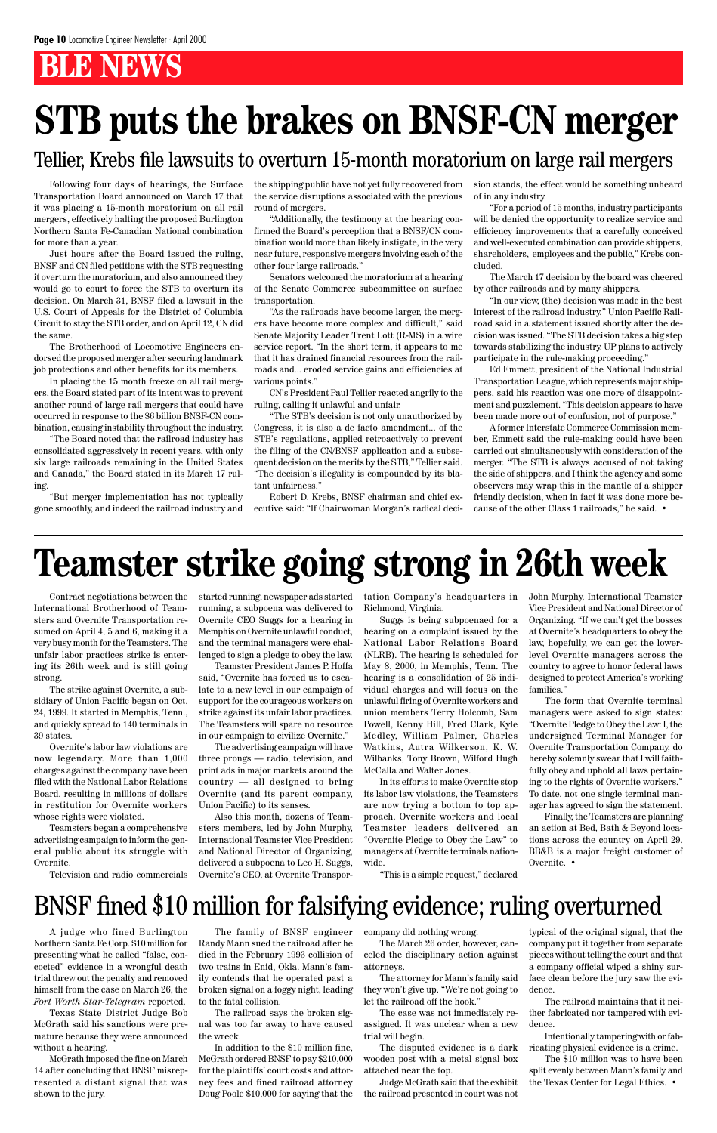Contract negotiations between the International Brotherhood of Teamsters and Overnite Transportation resumed on April 4, 5 and 6, making it a very busy month for the Teamsters. The unfair labor practices strike is entering its 26th week and is still going strong.

The strike against Overnite, a subsidiary of Union Pacific began on Oct. 24, 1999. It started in Memphis, Tenn., and quickly spread to 140 terminals in 39 states.

Overnite's labor law violations are now legendary. More than 1,000 charges against the company have been filed with the National Labor Relations Board, resulting in millions of dollars in restitution for Overnite workers whose rights were violated.

Teamsters began a comprehensive

advertising campaign to inform the general public about its struggle with Overnite.

Television and radio commercials

started running, newspaper ads started running, a subpoena was delivered to Overnite CEO Suggs for a hearing in Memphis on Overnite unlawful conduct, and the terminal managers were challenged to sign a pledge to obey the law.

Teamster President James P. Hoffa said, "Overnite has forced us to escalate to a new level in our campaign of support for the courageous workers on strike against its unfair labor practices. The Teamsters will spare no resource in our campaign to civilize Overnite."

The advertising campaign will have three prongs — radio, television, and print ads in major markets around the country — all designed to bring Overnite (and its parent company, Union Pacific) to its senses.

Also this month, dozens of Teamsters members, led by John Murphy, International Teamster Vice President and National Director of Organizing, delivered a subpoena to Leo H. Suggs, Overnite's CEO, at Overnite Transportation Company's headquarters in Richmond, Virginia.

Suggs is being subpoenaed for a hearing on a complaint issued by the National Labor Relations Board (NLRB). The hearing is scheduled for May 8, 2000, in Memphis, Tenn. The hearing is a consolidation of 25 individual charges and will focus on the unlawful firing of Overnite workers and union members Terry Holcomb, Sam Powell, Kenny Hill, Fred Clark, Kyle Medley, William Palmer, Charles Watkins, Autra Wilkerson, K. W. Wilbanks, Tony Brown, Wilford Hugh McCalla and Walter Jones.

In its efforts to make Overnite stop its labor law violations, the Teamsters are now trying a bottom to top approach. Overnite workers and local Teamster leaders delivered an "Overnite Pledge to Obey the Law" to managers at Overnite terminals nationwide.

"This is a simple request," declared

John Murphy, International Teamster Vice President and National Director of Organizing. "If we can't get the bosses at Overnite's headquarters to obey the law, hopefully, we can get the lowerlevel Overnite managers across the country to agree to honor federal laws designed to protect America's working families."

The form that Overnite terminal managers were asked to sign states: "Overnite Pledge to Obey the Law: I, the undersigned Terminal Manager for Overnite Transportation Company, do hereby solemnly swear that I will faithfully obey and uphold all laws pertaining to the rights of Overnite workers." To date, not one single terminal manager has agreed to sign the statement.

Finally, the Teamsters are planning an action at Bed, Bath & Beyond locations across the country on April 29. BB&B is a major freight customer of Overnite. •

Following four days of hearings, the Surface Transportation Board announced on March 17 that it was placing a 15-month moratorium on all rail mergers, effectively halting the proposed Burlington Northern Santa Fe-Canadian National combination for more than a year.

Just hours after the Board issued the ruling, BNSF and CN filed petitions with the STB requesting it overturn the moratorium, and also announced they would go to court to force the STB to overturn its decision. On March 31, BNSF filed a lawsuit in the U.S. Court of Appeals for the District of Columbia Circuit to stay the STB order, and on April 12, CN did the same.

The Brotherhood of Locomotive Engineers endorsed the proposed merger after securing landmark job protections and other benefits for its members.

In placing the 15 month freeze on all rail mergers, the Board stated part of its intent was to prevent another round of large rail mergers that could have occurred in response to the \$6 billion BNSF-CN combination, causing instability throughout the industry.

"The Board noted that the railroad industry has consolidated aggressively in recent years, with only six large railroads remaining in the United States and Canada," the Board stated in its March 17 ruling.

"But merger implementation has not typically gone smoothly, and indeed the railroad industry and the shipping public have not yet fully recovered from the service disruptions associated with the previous round of mergers.

"Additionally, the testimony at the hearing confirmed the Board's perception that a BNSF/CN combination would more than likely instigate, in the very near future, responsive mergers involving each of the other four large railroads."

Senators welcomed the moratorium at a hearing of the Senate Commerce subcommittee on surface transportation.

"As the railroads have become larger, the mergers have become more complex and difficult," said Senate Majority Leader Trent Lott (R-MS) in a wire service report. "In the short term, it appears to me that it has drained financial resources from the railroads and... eroded service gains and efficiencies at various points."

CN's President Paul Tellier reacted angrily to the ruling, calling it unlawful and unfair.

"The STB's decision is not only unauthorized by Congress, it is also a de facto amendment... of the STB's regulations, applied retroactively to prevent the filing of the CN/BNSF application and a subsequent decision on the merits by the STB," Tellier said. "The decision's illegality is compounded by its blatant unfairness."

Robert D. Krebs, BNSF chairman and chief executive said: "If Chairwoman Morgan's radical decision stands, the effect would be something unheard of in any industry.

"For a period of 15 months, industry participants will be denied the opportunity to realize service and efficiency improvements that a carefully conceived and well-executed combination can provide shippers, shareholders, employees and the public," Krebs concluded.

The March 17 decision by the board was cheered by other railroads and by many shippers.

"In our view, (the) decision was made in the best interest of the railroad industry," Union Pacific Railroad said in a statement issued shortly after the decision was issued. "The STB decision takes a big step towards stabilizing the industry. UP plans to actively participate in the rule-making proceeding."

Ed Emmett, president of the National Industrial Transportation League, which represents major shippers, said his reaction was one more of disappointment and puzzlement. "This decision appears to have been made more out of confusion, not of purpose."

A former Interstate Commerce Commission member, Emmett said the rule-making could have been carried out simultaneously with consideration of the merger. "The STB is always accused of not taking the side of shippers, and I think the agency and some observers may wrap this in the mantle of a shipper friendly decision, when in fact it was done more because of the other Class 1 railroads," he said. •

## **Teamster strike going strong in 26th week**

## **STB puts the brakes on BNSF-CN merger**

### Tellier, Krebs file lawsuits to overturn 15-month moratorium on large rail mergers

A judge who fined Burlington Northern Santa Fe Corp. \$10 million for presenting what he called "false, concocted" evidence in a wrongful death trial threw out the penalty and removed himself from the case on March 26, the *Fort Worth Star-Telegram* reported.

Texas State District Judge Bob McGrath said his sanctions were premature because they were announced without a hearing.

McGrath imposed the fine on March 14 after concluding that BNSF misrepresented a distant signal that was shown to the jury.

The family of BNSF engineer Randy Mann sued the railroad after he died in the February 1993 collision of two trains in Enid, Okla. Mann's family contends that he operated past a broken signal on a foggy night, leading to the fatal collision.

The railroad says the broken signal was too far away to have caused the wreck.

In addition to the \$10 million fine, McGrath ordered BNSF to pay \$210,000 for the plaintiffs' court costs and attorney fees and fined railroad attorney Doug Poole \$10,000 for saying that the company did nothing wrong.

The March 26 order, however, canceled the disciplinary action against attorneys.

The attorney for Mann's family said they won't give up. "We're not going to let the railroad off the hook."

The case was not immediately reassigned. It was unclear when a new trial will begin.

The disputed evidence is a dark wooden post with a metal signal box attached near the top.

Judge McGrath said that the exhibit the railroad presented in court was not

typical of the original signal, that the company put it together from separate pieces without telling the court and that a company official wiped a shiny surface clean before the jury saw the evidence.

The railroad maintains that it neither fabricated nor tampered with evidence.

Intentionally tampering with or fabricating physical evidence is a crime.

The \$10 million was to have been split evenly between Mann's family and the Texas Center for Legal Ethics. •

## BNSF fined \$10 million for falsifying evidence; ruling overturned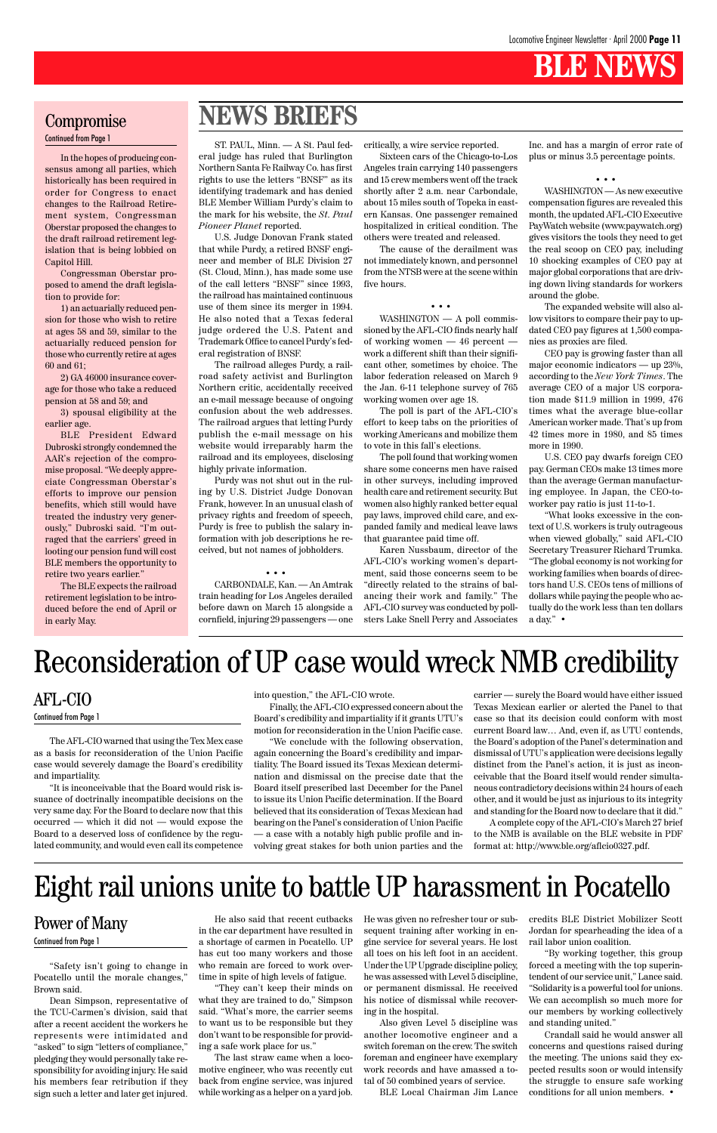

"Safety isn't going to change in Pocatello until the morale changes," Brown said.

Dean Simpson, representative of the TCU-Carmen's division, said that after a recent accident the workers he represents were intimidated and "asked" to sign "letters of compliance," pledging they would personally take responsibility for avoiding injury. He said his members fear retribution if they sign such a letter and later get injured.

In the hopes of producing consensus among all parties, which historically has been required in order for Congress to enact changes to the Railroad Retirement system, Congressman Oberstar proposed the changes to the draft railroad retirement legislation that is being lobbied on Capitol Hill.

Congressman Oberstar proposed to amend the draft legislation to provide for:

1) an actuarially reduced pension for those who wish to retire at ages 58 and 59, similar to the actuarially reduced pension for those who currently retire at ages 60 and 61;

2) GA 46000 insurance coverage for those who take a reduced pension at 58 and 59; and

3) spousal eligibility at the earlier age.

BLE President Edward Dubroski strongly condemned the AAR's rejection of the compromise proposal. "We deeply appreciate Congressman Oberstar's efforts to improve our pension benefits, which still would have treated the industry very generously," Dubroski said. "I'm outraged that the carriers' greed in looting our pension fund will cost BLE members the opportunity to retire two years earlier."

The BLE expects the railroad retirement legislation to be introduced before the end of April or in early May.

> He also said that recent cutbacks in the car department have resulted in a shortage of carmen in Pocatello. UP has cut too many workers and those who remain are forced to work overtime in spite of high levels of fatigue.

> "They can't keep their minds on what they are trained to do," Simpson said. "What's more, the carrier seems to want us to be responsible but they don't want to be responsible for providing a safe work place for us."

> The last straw came when a locomotive engineer, who was recently cut back from engine service, was injured while working as a helper on a yard job.

He was given no refresher tour or subsequent training after working in engine service for several years. He lost all toes on his left foot in an accident. Under the UP Upgrade discipline policy, he was assessed with Level 5 discipline, or permanent dismissal. He received his notice of dismissal while recovering in the hospital.

Also given Level 5 discipline was another locomotive engineer and a switch foreman on the crew. The switch foreman and engineer have exemplary work records and have amassed a total of 50 combined years of service.

BLE Local Chairman Jim Lance

credits BLE District Mobilizer Scott Jordan for spearheading the idea of a rail labor union coalition.

"By working together, this group forced a meeting with the top superintendent of our service unit," Lance said. "Solidarity is a powerful tool for unions. We can accomplish so much more for our members by working collectively and standing united."

Crandall said he would answer all concerns and questions raised during the meeting. The unions said they expected results soon or would intensify the struggle to ensure safe working conditions for all union members. •

### Power of Many

#### Continued from Page 1

## Eight rail unions unite to battle UP harassment in Pocatello

The AFL-CIO warned that using the Tex Mex case as a basis for reconsideration of the Union Pacific case would severely damage the Board's credibility and impartiality.

into question," the AFL-CIO wrote.

Finally, the AFL-CIO expressed concern about the Board's credibility and impartiality if it grants UTU's motion for reconsideration in the Union Pacific case.

"We conclude with the following observation, again concerning the Board's credibility and impartiality. The Board issued its Texas Mexican determination and dismissal on the precise date that the Board itself prescribed last December for the Panel to issue its Union Pacific determination. If the Board believed that its consideration of Texas Mexican had bearing on the Panel's consideration of Union Pacific

"It is inconceivable that the Board would risk issuance of doctrinally incompatible decisions on the very same day. For the Board to declare now that this occurred — which it did not — would expose the Board to a deserved loss of confidence by the regu-— a case with a notably high public profile and in-to the NMB is available on the BLE website in PDF

lated community, and would even call its competence volving great stakes for both union parties and the format at: http://www.ble.org/aflcio0327.pdf.

carrier — surely the Board would have either issued Texas Mexican earlier or alerted the Panel to that case so that its decision could conform with most current Board law… And, even if, as UTU contends, the Board's adoption of the Panel's determination and dismissal of UTU's application were decisions legally distinct from the Panel's action, it is just as inconceivable that the Board itself would render simultaneous contradictory decisions within 24 hours of each other, and it would be just as injurious to its integrity and standing for the Board now to declare that it did."

A complete copy of the AFL-CIO's March 27 brief

#### AFL-CIO

Continued from Page 1

## Reconsideration of UP case would wreck NMB credibility

#### Compromise Continued from Page 1

## **NEWS BRIEFS**

ST. PAUL, Minn. — A St. Paul federal judge has ruled that Burlington Northern Santa Fe Railway Co. has first rights to use the letters "BNSF" as its identifying trademark and has denied BLE Member William Purdy's claim to the mark for his website, the *St. Paul Pioneer Planet* reported.

U.S. Judge Donovan Frank stated that while Purdy, a retired BNSF engineer and member of BLE Division 27 (St. Cloud, Minn.), has made some use of the call letters "BNSF" since 1993, the railroad has maintained continuous use of them since its merger in 1994. He also noted that a Texas federal judge ordered the U.S. Patent and Trademark Office to cancel Purdy's federal registration of BNSF.

The railroad alleges Purdy, a railroad safety activist and Burlington Northern critic, accidentally received an e-mail message because of ongoing confusion about the web addresses. The railroad argues that letting Purdy publish the e-mail message on his website would irreparably harm the railroad and its employees, disclosing highly private information.

Purdy was not shut out in the ruling by U.S. District Judge Donovan Frank, however. In an unusual clash of privacy rights and freedom of speech, Purdy is free to publish the salary information with job descriptions he received, but not names of jobholders.

#### • • •

CARBONDALE, Kan. — An Amtrak train heading for Los Angeles derailed before dawn on March 15 alongside a cornfield, injuring 29 passengers — one critically, a wire service reported.

Sixteen cars of the Chicago-to-Los Angeles train carrying 140 passengers and 15 crew members went off the track shortly after 2 a.m. near Carbondale, about 15 miles south of Topeka in eastern Kansas. One passenger remained hospitalized in critical condition. The others were treated and released.

The cause of the derailment was not immediately known, and personnel from the NTSB were at the scene within five hours.

#### • • •

WASHINGTON — A poll commissioned by the AFL-CIO finds nearly half of working women — 46 percent work a different shift than their significant other, sometimes by choice. The labor federation released on March 9 the Jan. 6-11 telephone survey of 765 working women over age 18.

The poll is part of the AFL-CIO's effort to keep tabs on the priorities of working Americans and mobilize them to vote in this fall's elections.

The poll found that working women share some concerns men have raised in other surveys, including improved health care and retirement security. But women also highly ranked better equal pay laws, improved child care, and expanded family and medical leave laws that guarantee paid time off.

Karen Nussbaum, director of the AFL-CIO's working women's department, said those concerns seem to be "directly related to the strains of balancing their work and family." The AFL-CIO survey was conducted by pollsters Lake Snell Perry and Associates Inc. and has a margin of error rate of plus or minus 3.5 percentage points.

#### • • •

WASHINGTON — As new executive compensation figures are revealed this month, the updated AFL-CIO Executive PayWatch website (www.paywatch.org) gives visitors the tools they need to get the real scoop on CEO pay, including 10 shocking examples of CEO pay at major global corporations that are driving down living standards for workers around the globe.

The expanded website will also allow visitors to compare their pay to updated CEO pay figures at 1,500 companies as proxies are filed.

CEO pay is growing faster than all major economic indicators — up 23%, according to the *New York Times*. The average CEO of a major US corporation made \$11.9 million in 1999, 476 times what the average blue-collar American worker made. That's up from 42 times more in 1980, and 85 times more in 1990.

U.S. CEO pay dwarfs foreign CEO pay. German CEOs make 13 times more than the average German manufacturing employee. In Japan, the CEO-toworker pay ratio is just 11-to-1.

"What looks excessive in the context of U.S. workers is truly outrageous when viewed globally," said AFL-CIO Secretary Treasurer Richard Trumka. "The global economy is not working for working families when boards of directors hand U.S. CEOs tens of millions of dollars while paying the people who actually do the work less than ten dollars a day." •